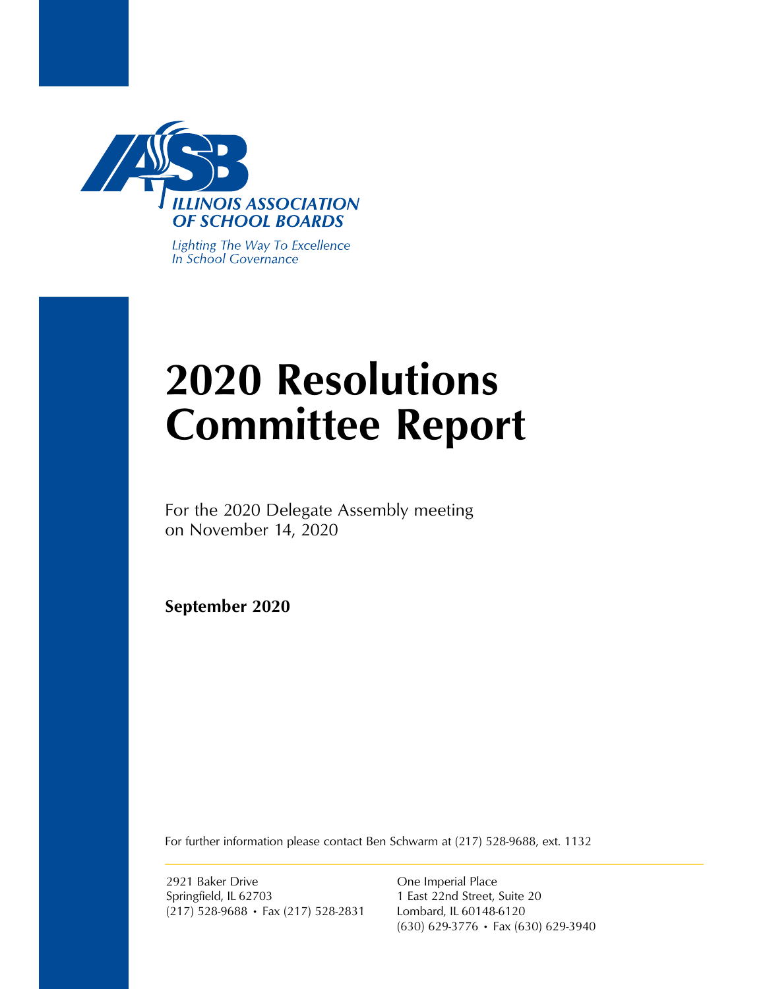

Lighting The Way To Excellence In School Governance

# **2020 Resolutions Committee Report**

For the 2020 Delegate Assembly meeting on November 14, 2020

**September 2020**

For further information please contact Ben Schwarm at (217) 528-9688, ext. 1132

2921 Baker Drive Springfield, IL 62703 (217) 528-9688 • Fax (217) 528-2831

One Imperial Place 1 East 22nd Street, Suite 20 Lombard, IL 60148-6120 (630) 629-3776 • Fax (630) 629-3940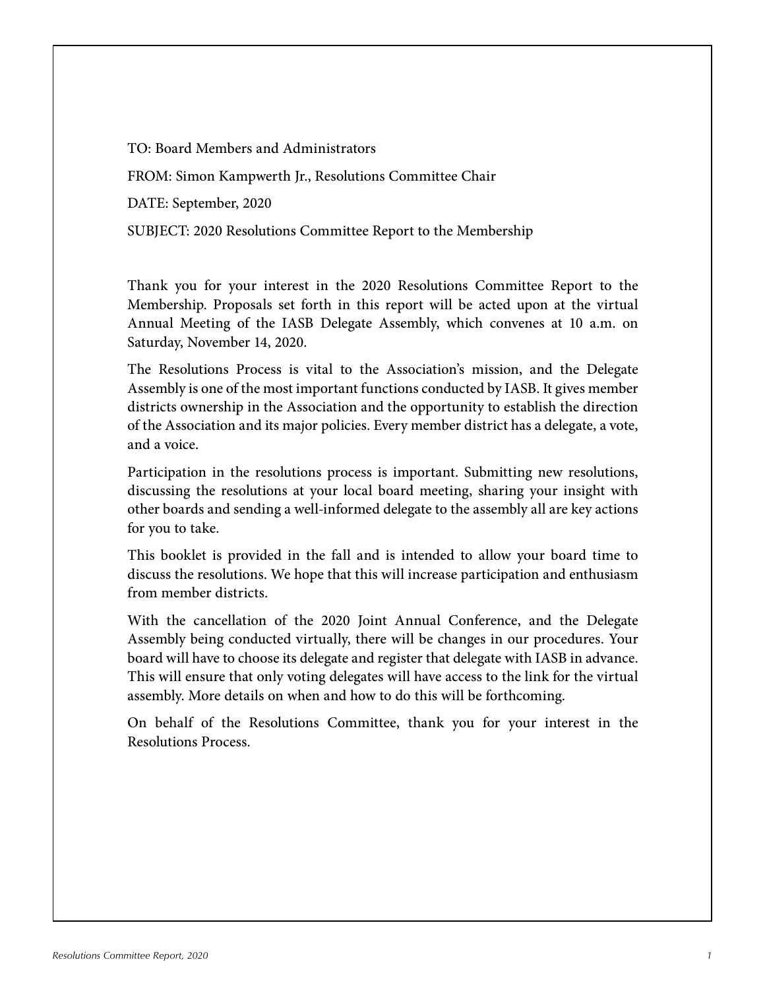TO: Board Members and Administrators FROM: Simon Kampwerth Jr., Resolutions Committee Chair DATE: September, 2020 SUBJECT: 2020 Resolutions Committee Report to the Membership

Thank you for your interest in the 2020 Resolutions Committee Report to the Membership. Proposals set forth in this report will be acted upon at the virtual Annual Meeting of the IASB Delegate Assembly, which convenes at 10 a.m. on Saturday, November 14, 2020.

The Resolutions Process is vital to the Association's mission, and the Delegate Assembly is one of the most important functions conducted by IASB. It gives member districts ownership in the Association and the opportunity to establish the direction of the Association and its major policies. Every member district has a delegate, a vote, and a voice.

Participation in the resolutions process is important. Submitting new resolutions, discussing the resolutions at your local board meeting, sharing your insight with other boards and sending a well-informed delegate to the assembly all are key actions for you to take.

This booklet is provided in the fall and is intended to allow your board time to discuss the resolutions. We hope that this will increase participation and enthusiasm from member districts.

With the cancellation of the 2020 Joint Annual Conference, and the Delegate Assembly being conducted virtually, there will be changes in our procedures. Your board will have to choose its delegate and register that delegate with IASB in advance. This will ensure that only voting delegates will have access to the link for the virtual assembly. More details on when and how to do this will be forthcoming.

On behalf of the Resolutions Committee, thank you for your interest in the Resolutions Process.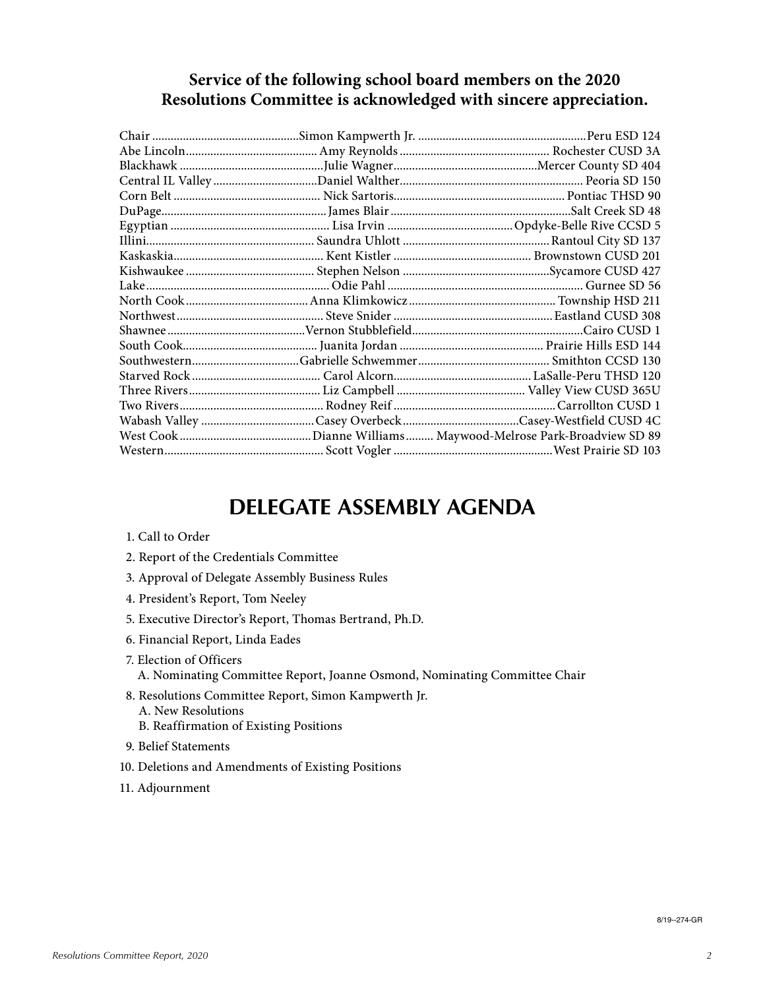### **Service of the following school board members on the 2020 Resolutions Committee is acknowledged with sincere appreciation.**

## **DELEGATE ASSEMBLY AGENDA**

- 1. Call to Order
- 2. Report of the Credentials Committee
- 3. Approval of Delegate Assembly Business Rules
- 4. President's Report, Tom Neeley
- 5. Executive Director's Report, Thomas Bertrand, Ph.D.
- 6. Financial Report, Linda Eades
- 7. Election of Officers A. Nominating Committee Report, Joanne Osmond, Nominating Committee Chair
- 8. Resolutions Committee Report, Simon Kampwerth Jr.
	- A. New Resolutions
	- B. Reaffirmation of Existing Positions
- 9. Belief Statements
- 10. Deletions and Amendments of Existing Positions
- 11. Adjournment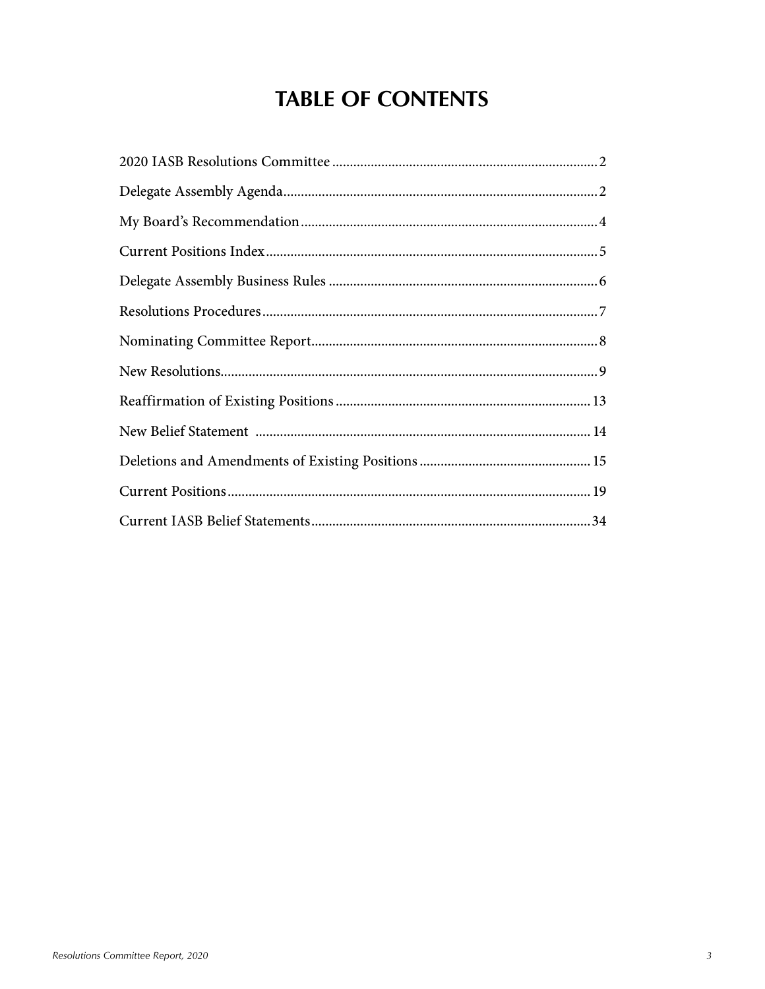## **TABLE OF CONTENTS**

| $\bf Resolutions\; Proceedings 1.17$ |
|--------------------------------------|
|                                      |
|                                      |
|                                      |
|                                      |
|                                      |
|                                      |
|                                      |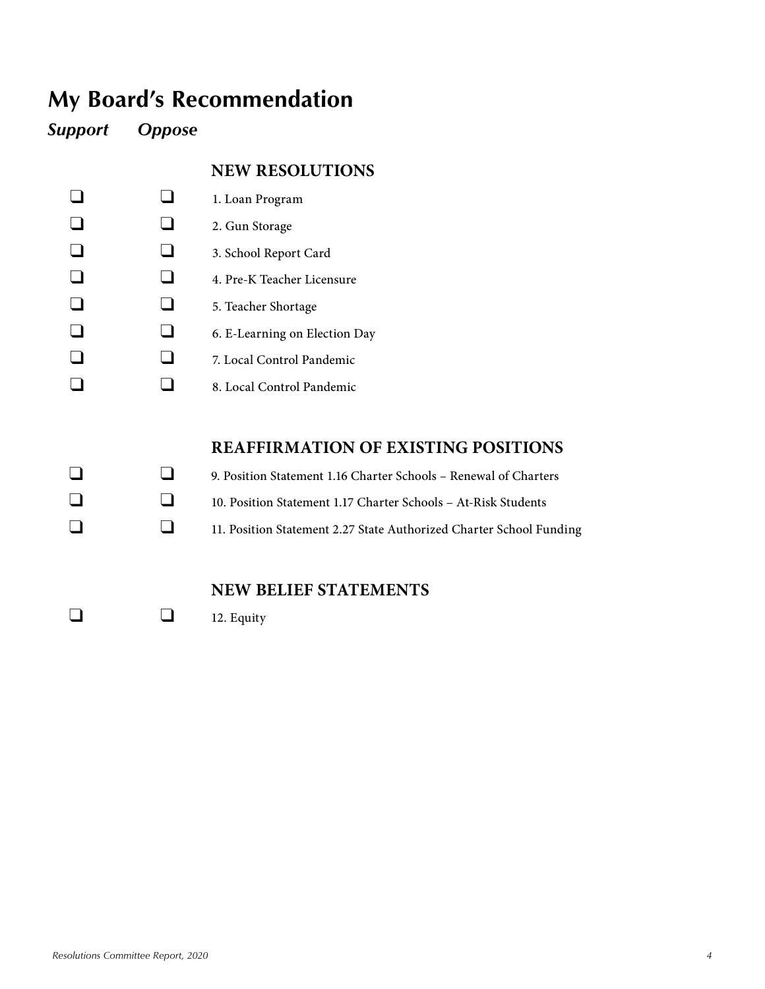## **My Board's Recommendation**

*Support Oppose*

### **NEW RESOLUTIONS**

- $\Box$  1. Loan Program
- $\Box$   $\Box$  2. Gun Storage
- q a. School Report Card
- $\Box$  4. Pre-K Teacher Licensure
- $\Box$  5. Teacher Shortage
- $\Box$  6. E-Learning on Election Day
- $\Box$   $\Box$  7. Local Control Pandemic
- $\Box$  8. Local Control Pandemic

### **REAFFIRMATION OF EXISTING POSITIONS**

q q 9. Position Statement 1.16 Charter Schools – Renewal of Charters q 10. Position Statement 1.17 Charter Schools – At-Risk Students **q** 11. Position Statement 2.27 State Authorized Charter School Funding

## **NEW BELIEF STATEMENTS**

 $\Box$  12. Equity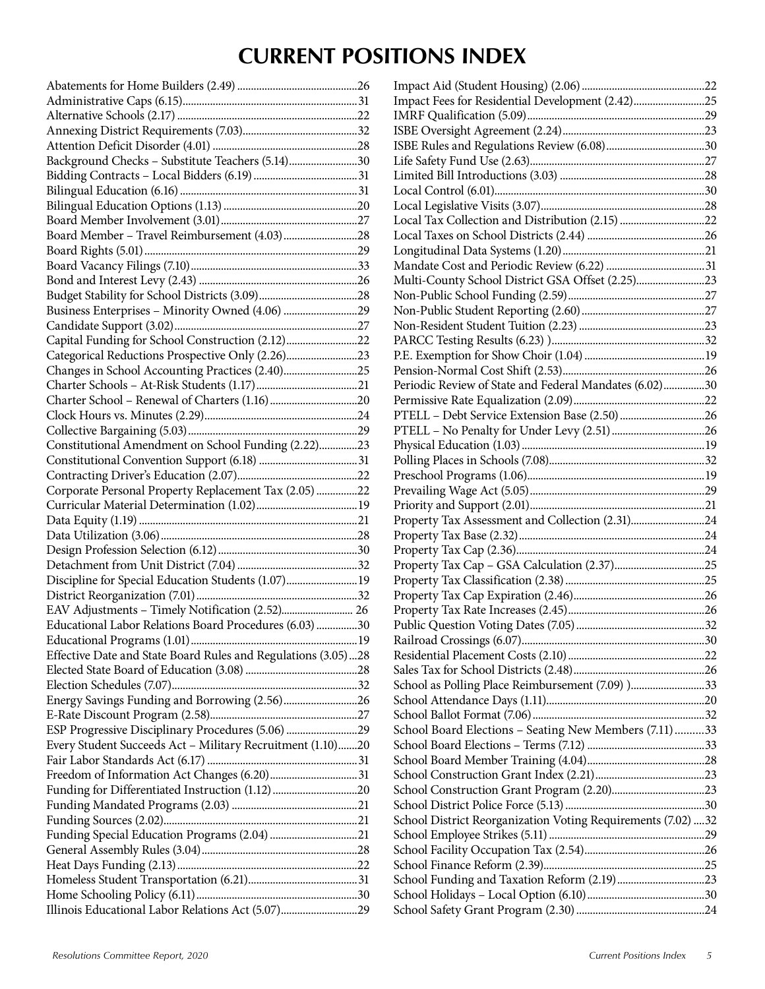## **CURRENT POSITIONS INDEX**

| Background Checks - Substitute Teachers (5.14)30              |  |
|---------------------------------------------------------------|--|
|                                                               |  |
|                                                               |  |
|                                                               |  |
|                                                               |  |
| Board Member - Travel Reimbursement (4.03)28                  |  |
|                                                               |  |
|                                                               |  |
|                                                               |  |
|                                                               |  |
|                                                               |  |
|                                                               |  |
|                                                               |  |
| Capital Funding for School Construction (2.12)22              |  |
| Categorical Reductions Prospective Only (2.26)23              |  |
| Changes in School Accounting Practices (2.40)25               |  |
|                                                               |  |
|                                                               |  |
|                                                               |  |
|                                                               |  |
|                                                               |  |
| Constitutional Amendment on School Funding (2.22)23           |  |
|                                                               |  |
|                                                               |  |
| Corporate Personal Property Replacement Tax (2.05) 22         |  |
|                                                               |  |
|                                                               |  |
|                                                               |  |
|                                                               |  |
|                                                               |  |
| Discipline for Special Education Students (1.07) 19           |  |
|                                                               |  |
|                                                               |  |
| Educational Labor Relations Board Procedures (6.03) 30        |  |
|                                                               |  |
|                                                               |  |
| Effective Date and State Board Rules and Regulations (3.05)28 |  |
|                                                               |  |
|                                                               |  |
| Energy Savings Funding and Borrowing (2.56)26                 |  |
|                                                               |  |
| ESP Progressive Disciplinary Procedures (5.06) 29             |  |
| Every Student Succeeds Act - Military Recruitment (1.10)20    |  |
|                                                               |  |
| Freedom of Information Act Changes (6.20)31                   |  |
|                                                               |  |
|                                                               |  |
|                                                               |  |
|                                                               |  |
|                                                               |  |
|                                                               |  |
|                                                               |  |
|                                                               |  |
|                                                               |  |
| Illinois Educational Labor Relations Act (5.07)29             |  |

| Impact Fees for Residential Development (2.42)25             |  |
|--------------------------------------------------------------|--|
|                                                              |  |
|                                                              |  |
|                                                              |  |
|                                                              |  |
|                                                              |  |
|                                                              |  |
|                                                              |  |
| Local Tax Collection and Distribution (2.15) 22              |  |
|                                                              |  |
|                                                              |  |
|                                                              |  |
| Multi-County School District GSA Offset (2.25)23             |  |
|                                                              |  |
|                                                              |  |
|                                                              |  |
|                                                              |  |
|                                                              |  |
|                                                              |  |
|                                                              |  |
| Periodic Review of State and Federal Mandates (6.02)30       |  |
|                                                              |  |
|                                                              |  |
|                                                              |  |
|                                                              |  |
|                                                              |  |
|                                                              |  |
|                                                              |  |
|                                                              |  |
| Property Tax Assessment and Collection (2.31)24              |  |
|                                                              |  |
|                                                              |  |
|                                                              |  |
|                                                              |  |
|                                                              |  |
|                                                              |  |
|                                                              |  |
|                                                              |  |
|                                                              |  |
|                                                              |  |
| School as Polling Place Reimbursement (7.09) )33             |  |
|                                                              |  |
|                                                              |  |
| School Board Elections - Seating New Members (7.11)33        |  |
|                                                              |  |
|                                                              |  |
|                                                              |  |
|                                                              |  |
|                                                              |  |
| School District Reorganization Voting Requirements (7.02) 32 |  |
|                                                              |  |
|                                                              |  |
|                                                              |  |
|                                                              |  |
|                                                              |  |
|                                                              |  |
|                                                              |  |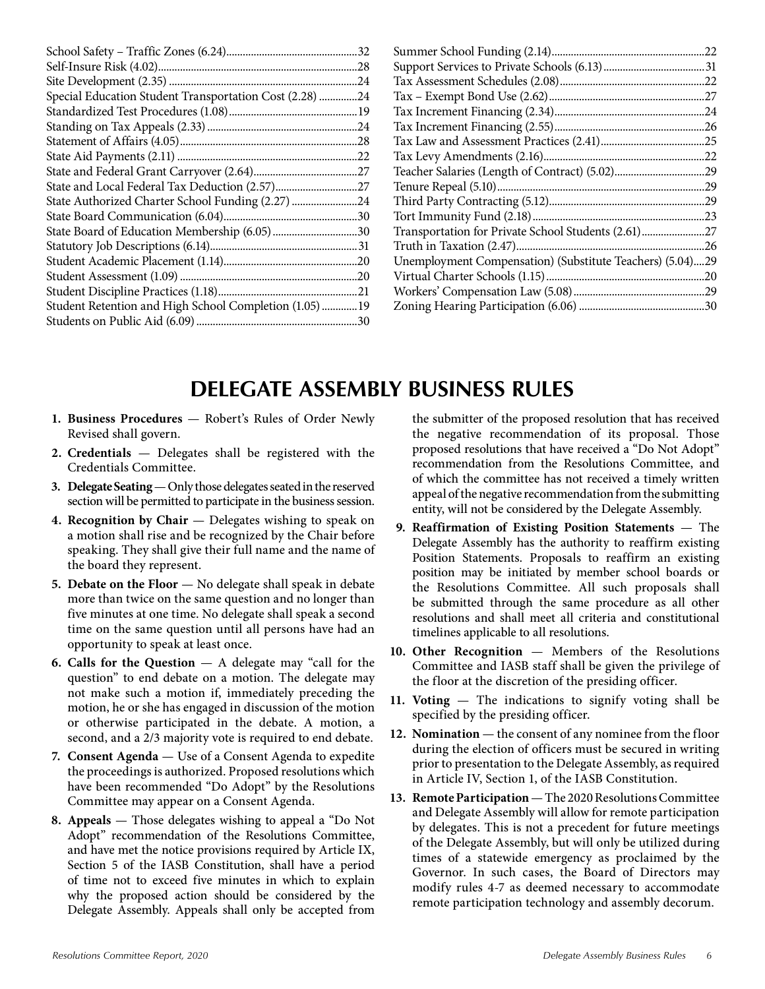|                                                         | .32 |
|---------------------------------------------------------|-----|
|                                                         | .28 |
|                                                         | .24 |
| Special Education Student Transportation Cost (2.28)    | .24 |
|                                                         |     |
|                                                         |     |
|                                                         | .28 |
|                                                         | .22 |
|                                                         |     |
|                                                         |     |
| State Authorized Charter School Funding (2.27) 24       |     |
|                                                         |     |
| State Board of Education Membership (6.05)30            |     |
|                                                         |     |
|                                                         | .20 |
|                                                         | .20 |
|                                                         |     |
| Student Retention and High School Completion (1.05)  19 |     |
|                                                         | .30 |
|                                                         |     |

|                                                           | .22 |
|-----------------------------------------------------------|-----|
|                                                           |     |
|                                                           |     |
|                                                           |     |
|                                                           | .24 |
|                                                           | .26 |
|                                                           | 25  |
|                                                           | 22  |
|                                                           | 29  |
|                                                           | .29 |
|                                                           |     |
|                                                           | 23  |
|                                                           | .27 |
|                                                           | .26 |
| Unemployment Compensation) (Substitute Teachers) (5.04)29 |     |
|                                                           | .20 |
|                                                           |     |
|                                                           |     |
|                                                           |     |

## **DELEGATE ASSEMBLY BUSINESS RULES**

- **1. Business Procedures** Robert's Rules of Order Newly Revised shall govern.
- **2. Credentials** Delegates shall be registered with the Credentials Committee.
- **3. Delegate Seating** Only those delegates seated in the reserved section will be permitted to participate in the business session.
- **4. Recognition by Chair** Delegates wishing to speak on a motion shall rise and be recognized by the Chair before speaking. They shall give their full name and the name of the board they represent.
- **5. Debate on the Floor** No delegate shall speak in debate more than twice on the same question and no longer than five minutes at one time. No delegate shall speak a second time on the same question until all persons have had an opportunity to speak at least once.
- **6. Calls for the Question** A delegate may "call for the question" to end debate on a motion. The delegate may not make such a motion if, immediately preceding the motion, he or she has engaged in discussion of the motion or otherwise participated in the debate. A motion, a second, and a 2/3 majority vote is required to end debate.
- **7. Consent Agenda** Use of a Consent Agenda to expedite the proceedings is authorized. Proposed resolutions which have been recommended "Do Adopt" by the Resolutions Committee may appear on a Consent Agenda.
- **8. Appeals**  Those delegates wishing to appeal a "Do Not Adopt" recommendation of the Resolutions Committee, and have met the notice provisions required by Article IX, Section 5 of the IASB Constitution, shall have a period of time not to exceed five minutes in which to explain why the proposed action should be considered by the Delegate Assembly. Appeals shall only be accepted from

the submitter of the proposed resolution that has received the negative recommendation of its proposal. Those proposed resolutions that have received a "Do Not Adopt" recommendation from the Resolutions Committee, and of which the committee has not received a timely written appeal of the negative recommendation from the submitting entity, will not be considered by the Delegate Assembly.

- **9. Reaffirmation of Existing Position Statements** The Delegate Assembly has the authority to reaffirm existing Position Statements. Proposals to reaffirm an existing position may be initiated by member school boards or the Resolutions Committee. All such proposals shall be submitted through the same procedure as all other resolutions and shall meet all criteria and constitutional timelines applicable to all resolutions.
- **10. Other Recognition** Members of the Resolutions Committee and IASB staff shall be given the privilege of the floor at the discretion of the presiding officer.
- **11. Voting** The indications to signify voting shall be specified by the presiding officer.
- **12. Nomination** the consent of any nominee from the floor during the election of officers must be secured in writing prior to presentation to the Delegate Assembly, as required in Article IV, Section 1, of the IASB Constitution.
- **13. Remote Participation**  The 2020 Resolutions Committee and Delegate Assembly will allow for remote participation by delegates. This is not a precedent for future meetings of the Delegate Assembly, but will only be utilized during times of a statewide emergency as proclaimed by the Governor. In such cases, the Board of Directors may modify rules 4-7 as deemed necessary to accommodate remote participation technology and assembly decorum.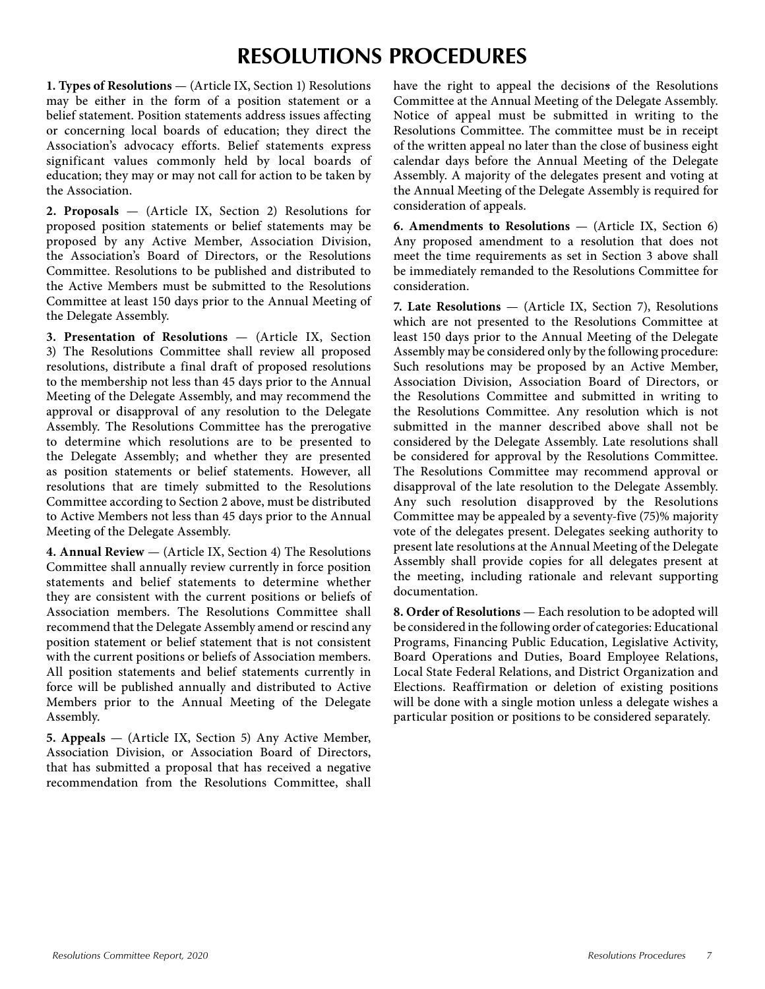## **RESOLUTIONS PROCEDURES**

**1. Types of Resolutions** — (Article IX, Section 1) Resolutions may be either in the form of a position statement or a belief statement. Position statements address issues affecting or concerning local boards of education; they direct the Association's advocacy efforts. Belief statements express significant values commonly held by local boards of education; they may or may not call for action to be taken by the Association.

**2. Proposals** — (Article IX, Section 2) Resolutions for proposed position statements or belief statements may be proposed by any Active Member, Association Division, the Association's Board of Directors, or the Resolutions Committee. Resolutions to be published and distributed to the Active Members must be submitted to the Resolutions Committee at least 150 days prior to the Annual Meeting of the Delegate Assembly.

**3. Presentation of Resolutions** — (Article IX, Section 3) The Resolutions Committee shall review all proposed resolutions, distribute a final draft of proposed resolutions to the membership not less than 45 days prior to the Annual Meeting of the Delegate Assembly, and may recommend the approval or disapproval of any resolution to the Delegate Assembly. The Resolutions Committee has the prerogative to determine which resolutions are to be presented to the Delegate Assembly; and whether they are presented as position statements or belief statements. However, all resolutions that are timely submitted to the Resolutions Committee according to Section 2 above, must be distributed to Active Members not less than 45 days prior to the Annual Meeting of the Delegate Assembly.

**4. Annual Review** — (Article IX, Section 4) The Resolutions Committee shall annually review currently in force position statements and belief statements to determine whether they are consistent with the current positions or beliefs of Association members. The Resolutions Committee shall recommend that the Delegate Assembly amend or rescind any position statement or belief statement that is not consistent with the current positions or beliefs of Association members. All position statements and belief statements currently in force will be published annually and distributed to Active Members prior to the Annual Meeting of the Delegate Assembly.

**5. Appeals** — (Article IX, Section 5) Any Active Member, Association Division, or Association Board of Directors, that has submitted a proposal that has received a negative recommendation from the Resolutions Committee, shall have the right to appeal the decisions of the Resolutions Committee at the Annual Meeting of the Delegate Assembly. Notice of appeal must be submitted in writing to the Resolutions Committee. The committee must be in receipt of the written appeal no later than the close of business eight calendar days before the Annual Meeting of the Delegate Assembly. A majority of the delegates present and voting at the Annual Meeting of the Delegate Assembly is required for consideration of appeals.

**6. Amendments to Resolutions** — (Article IX, Section 6) Any proposed amendment to a resolution that does not meet the time requirements as set in Section 3 above shall be immediately remanded to the Resolutions Committee for consideration.

**7. Late Resolutions** — (Article IX, Section 7), Resolutions which are not presented to the Resolutions Committee at least 150 days prior to the Annual Meeting of the Delegate Assembly may be considered only by the following procedure: Such resolutions may be proposed by an Active Member, Association Division, Association Board of Directors, or the Resolutions Committee and submitted in writing to the Resolutions Committee. Any resolution which is not submitted in the manner described above shall not be considered by the Delegate Assembly. Late resolutions shall be considered for approval by the Resolutions Committee. The Resolutions Committee may recommend approval or disapproval of the late resolution to the Delegate Assembly. Any such resolution disapproved by the Resolutions Committee may be appealed by a seventy-five (75)% majority vote of the delegates present. Delegates seeking authority to present late resolutions at the Annual Meeting of the Delegate Assembly shall provide copies for all delegates present at the meeting, including rationale and relevant supporting documentation.

**8. Order of Resolutions** — Each resolution to be adopted will be considered in the following order of categories: Educational Programs, Financing Public Education, Legislative Activity, Board Operations and Duties, Board Employee Relations, Local State Federal Relations, and District Organization and Elections. Reaffirmation or deletion of existing positions will be done with a single motion unless a delegate wishes a particular position or positions to be considered separately.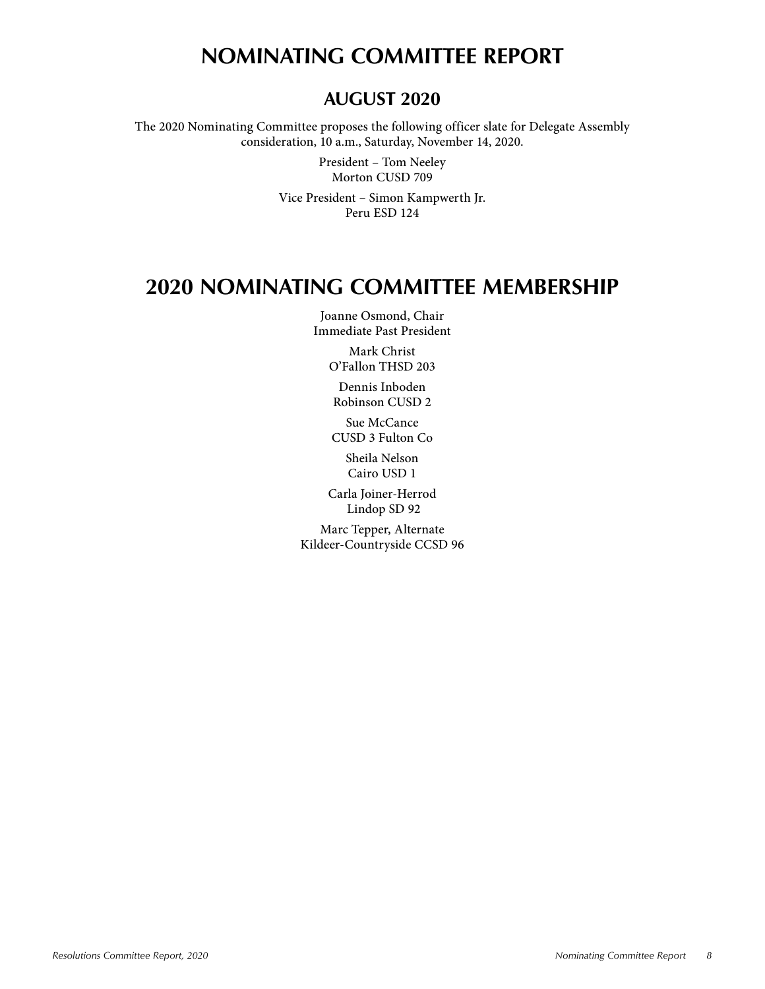## **NOMINATING COMMITTEE REPORT**

## **AUGUST 2020**

The 2020 Nominating Committee proposes the following officer slate for Delegate Assembly consideration, 10 a.m., Saturday, November 14, 2020.

> President – Tom Neeley Morton CUSD 709

Vice President – Simon Kampwerth Jr. Peru ESD 124

## **2020 NOMINATING COMMITTEE MEMBERSHIP**

Joanne Osmond, Chair Immediate Past President

> Mark Christ O'Fallon THSD 203

Dennis Inboden Robinson CUSD 2

Sue McCance CUSD 3 Fulton Co

Sheila Nelson Cairo USD 1

Carla Joiner-Herrod Lindop SD 92

Marc Tepper, Alternate Kildeer-Countryside CCSD 96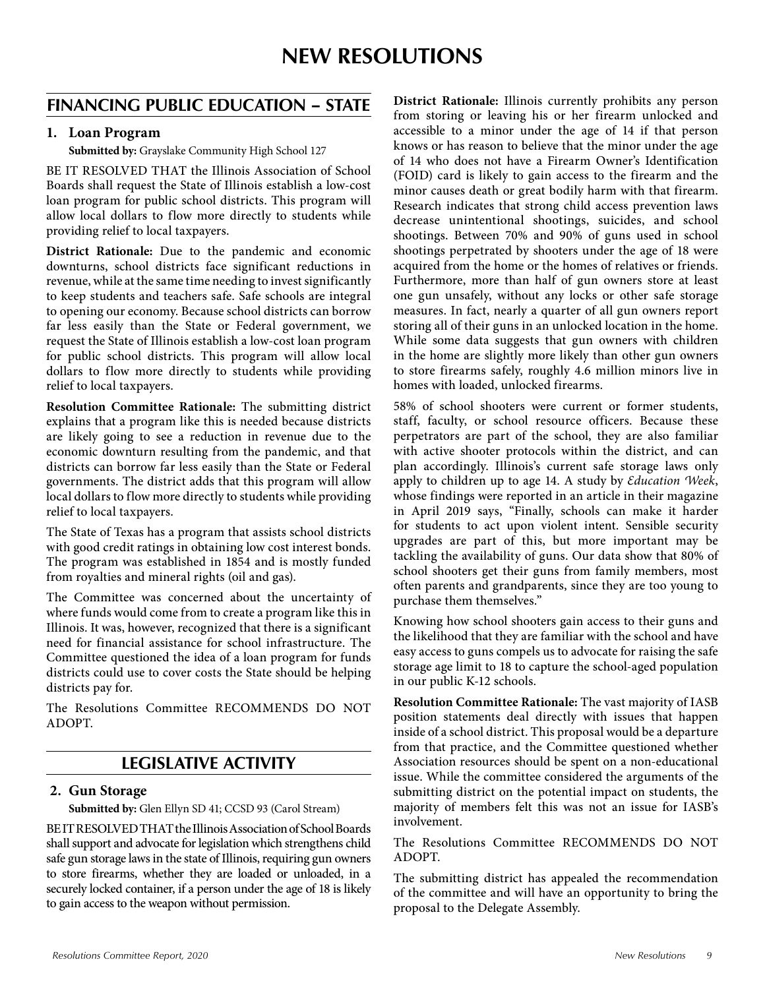### **FINANCING PUBLIC EDUCATION – STATE**

#### **1. Loan Program**

**Submitted by:** Grayslake Community High School 127

BE IT RESOLVED THAT the Illinois Association of School Boards shall request the State of Illinois establish a low-cost loan program for public school districts. This program will allow local dollars to flow more directly to students while providing relief to local taxpayers.

**District Rationale:** Due to the pandemic and economic downturns, school districts face significant reductions in revenue, while at the same time needing to invest significantly to keep students and teachers safe. Safe schools are integral to opening our economy. Because school districts can borrow far less easily than the State or Federal government, we request the State of Illinois establish a low-cost loan program for public school districts. This program will allow local dollars to flow more directly to students while providing relief to local taxpayers.

**Resolution Committee Rationale:** The submitting district explains that a program like this is needed because districts are likely going to see a reduction in revenue due to the economic downturn resulting from the pandemic, and that districts can borrow far less easily than the State or Federal governments. The district adds that this program will allow local dollars to flow more directly to students while providing relief to local taxpayers.

The State of Texas has a program that assists school districts with good credit ratings in obtaining low cost interest bonds. The program was established in 1854 and is mostly funded from royalties and mineral rights (oil and gas).

The Committee was concerned about the uncertainty of where funds would come from to create a program like this in Illinois. It was, however, recognized that there is a significant need for financial assistance for school infrastructure. The Committee questioned the idea of a loan program for funds districts could use to cover costs the State should be helping districts pay for.

The Resolutions Committee RECOMMENDS DO NOT ADOPT.

### **LEGISLATIVE ACTIVITY**

#### **2. Gun Storage**

**Submitted by:** Glen Ellyn SD 41; CCSD 93 (Carol Stream)

BE IT RESOLVED THAT the Illinois Association of School Boards shall support and advocate for legislation which strengthens child safe gun storage laws in the state of Illinois, requiring gun owners to store firearms, whether they are loaded or unloaded, in a securely locked container, if a person under the age of 18 is likely to gain access to the weapon without permission.

**District Rationale:** Illinois currently prohibits any person from storing or leaving his or her firearm unlocked and accessible to a minor under the age of 14 if that person knows or has reason to believe that the minor under the age of 14 who does not have a Firearm Owner's Identification (FOID) card is likely to gain access to the firearm and the minor causes death or great bodily harm with that firearm. Research indicates that strong child access prevention laws decrease unintentional shootings, suicides, and school shootings. Between 70% and 90% of guns used in school shootings perpetrated by shooters under the age of 18 were acquired from the home or the homes of relatives or friends. Furthermore, more than half of gun owners store at least one gun unsafely, without any locks or other safe storage measures. In fact, nearly a quarter of all gun owners report storing all of their guns in an unlocked location in the home. While some data suggests that gun owners with children in the home are slightly more likely than other gun owners to store firearms safely, roughly 4.6 million minors live in homes with loaded, unlocked firearms.

58% of school shooters were current or former students, staff, faculty, or school resource officers. Because these perpetrators are part of the school, they are also familiar with active shooter protocols within the district, and can plan accordingly. Illinois's current safe storage laws only apply to children up to age 14. A study by *Education Week*, whose findings were reported in an article in their magazine in April 2019 says, "Finally, schools can make it harder for students to act upon violent intent. Sensible security upgrades are part of this, but more important may be tackling the availability of guns. Our data show that 80% of school shooters get their guns from family members, most often parents and grandparents, since they are too young to purchase them themselves."

Knowing how school shooters gain access to their guns and the likelihood that they are familiar with the school and have easy access to guns compels us to advocate for raising the safe storage age limit to 18 to capture the school-aged population in our public K-12 schools.

**Resolution Committee Rationale:** The vast majority of IASB position statements deal directly with issues that happen inside of a school district. This proposal would be a departure from that practice, and the Committee questioned whether Association resources should be spent on a non-educational issue. While the committee considered the arguments of the submitting district on the potential impact on students, the majority of members felt this was not an issue for IASB's involvement.

The Resolutions Committee RECOMMENDS DO NOT ADOPT.

The submitting district has appealed the recommendation of the committee and will have an opportunity to bring the proposal to the Delegate Assembly.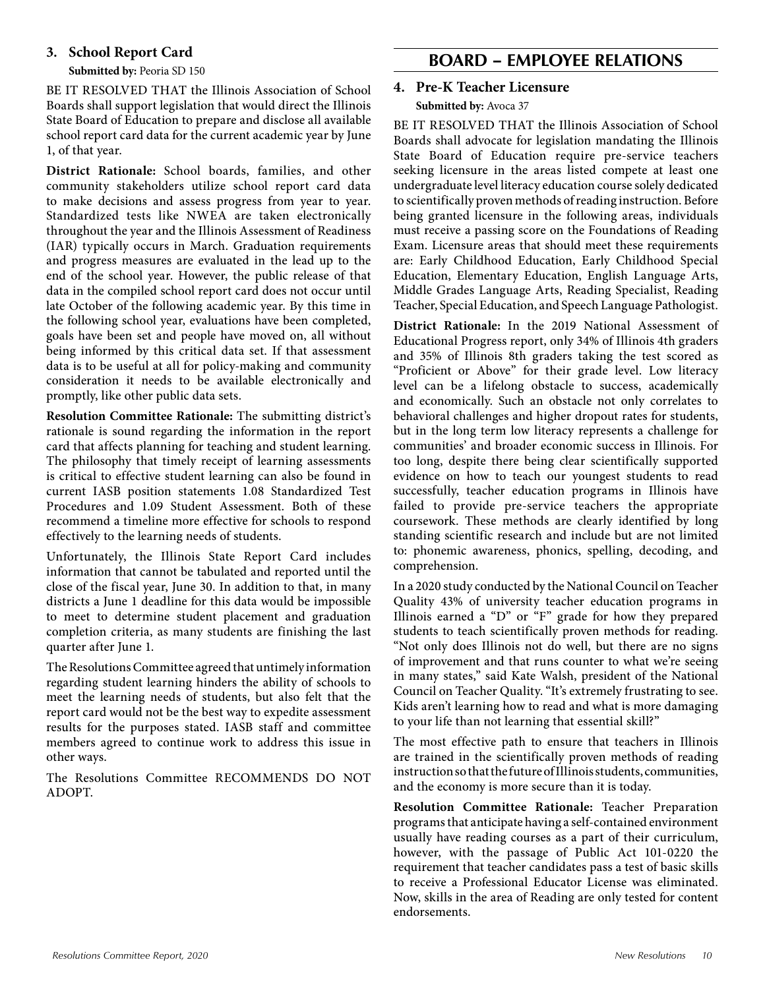#### **3. School Report Card**

**Submitted by:** Peoria SD 150

BE IT RESOLVED THAT the Illinois Association of School Boards shall support legislation that would direct the Illinois State Board of Education to prepare and disclose all available school report card data for the current academic year by June 1, of that year.

**District Rationale:** School boards, families, and other community stakeholders utilize school report card data to make decisions and assess progress from year to year. Standardized tests like NWEA are taken electronically throughout the year and the Illinois Assessment of Readiness (IAR) typically occurs in March. Graduation requirements and progress measures are evaluated in the lead up to the end of the school year. However, the public release of that data in the compiled school report card does not occur until late October of the following academic year. By this time in the following school year, evaluations have been completed, goals have been set and people have moved on, all without being informed by this critical data set. If that assessment data is to be useful at all for policy-making and community consideration it needs to be available electronically and promptly, like other public data sets.

**Resolution Committee Rationale:** The submitting district's rationale is sound regarding the information in the report card that affects planning for teaching and student learning. The philosophy that timely receipt of learning assessments is critical to effective student learning can also be found in current IASB position statements 1.08 Standardized Test Procedures and 1.09 Student Assessment. Both of these recommend a timeline more effective for schools to respond effectively to the learning needs of students.

Unfortunately, the Illinois State Report Card includes information that cannot be tabulated and reported until the close of the fiscal year, June 30. In addition to that, in many districts a June 1 deadline for this data would be impossible to meet to determine student placement and graduation completion criteria, as many students are finishing the last quarter after June 1.

The Resolutions Committee agreed that untimely information regarding student learning hinders the ability of schools to meet the learning needs of students, but also felt that the report card would not be the best way to expedite assessment results for the purposes stated. IASB staff and committee members agreed to continue work to address this issue in other ways.

The Resolutions Committee RECOMMENDS DO NOT ADOPT.

### **BOARD – EMPLOYEE RELATIONS**

#### **4. Pre-K Teacher Licensure Submitted by:** Avoca 37

BE IT RESOLVED THAT the Illinois Association of School Boards shall advocate for legislation mandating the Illinois State Board of Education require pre-service teachers seeking licensure in the areas listed compete at least one undergraduate level literacy education course solely dedicated to scientifically proven methods of reading instruction. Before being granted licensure in the following areas, individuals must receive a passing score on the Foundations of Reading Exam. Licensure areas that should meet these requirements are: Early Childhood Education, Early Childhood Special Education, Elementary Education, English Language Arts, Middle Grades Language Arts, Reading Specialist, Reading Teacher, Special Education, and Speech Language Pathologist.

**District Rationale:** In the 2019 National Assessment of Educational Progress report, only 34% of Illinois 4th graders and 35% of Illinois 8th graders taking the test scored as "Proficient or Above" for their grade level. Low literacy level can be a lifelong obstacle to success, academically and economically. Such an obstacle not only correlates to behavioral challenges and higher dropout rates for students, but in the long term low literacy represents a challenge for communities' and broader economic success in Illinois. For too long, despite there being clear scientifically supported evidence on how to teach our youngest students to read successfully, teacher education programs in Illinois have failed to provide pre-service teachers the appropriate coursework. These methods are clearly identified by long standing scientific research and include but are not limited to: phonemic awareness, phonics, spelling, decoding, and comprehension.

In a 2020 study conducted by the National Council on Teacher Quality 43% of university teacher education programs in Illinois earned a "D" or "F" grade for how they prepared students to teach scientifically proven methods for reading. "Not only does Illinois not do well, but there are no signs of improvement and that runs counter to what we're seeing in many states," said Kate Walsh, president of the National Council on Teacher Quality. "It's extremely frustrating to see. Kids aren't learning how to read and what is more damaging to your life than not learning that essential skill?"

The most effective path to ensure that teachers in Illinois are trained in the scientifically proven methods of reading instruction so that the future of Illinois students, communities, and the economy is more secure than it is today.

**Resolution Committee Rationale:** Teacher Preparation programs that anticipate having a self-contained environment usually have reading courses as a part of their curriculum, however, with the passage of Public Act 101-0220 the requirement that teacher candidates pass a test of basic skills to receive a Professional Educator License was eliminated. Now, skills in the area of Reading are only tested for content endorsements.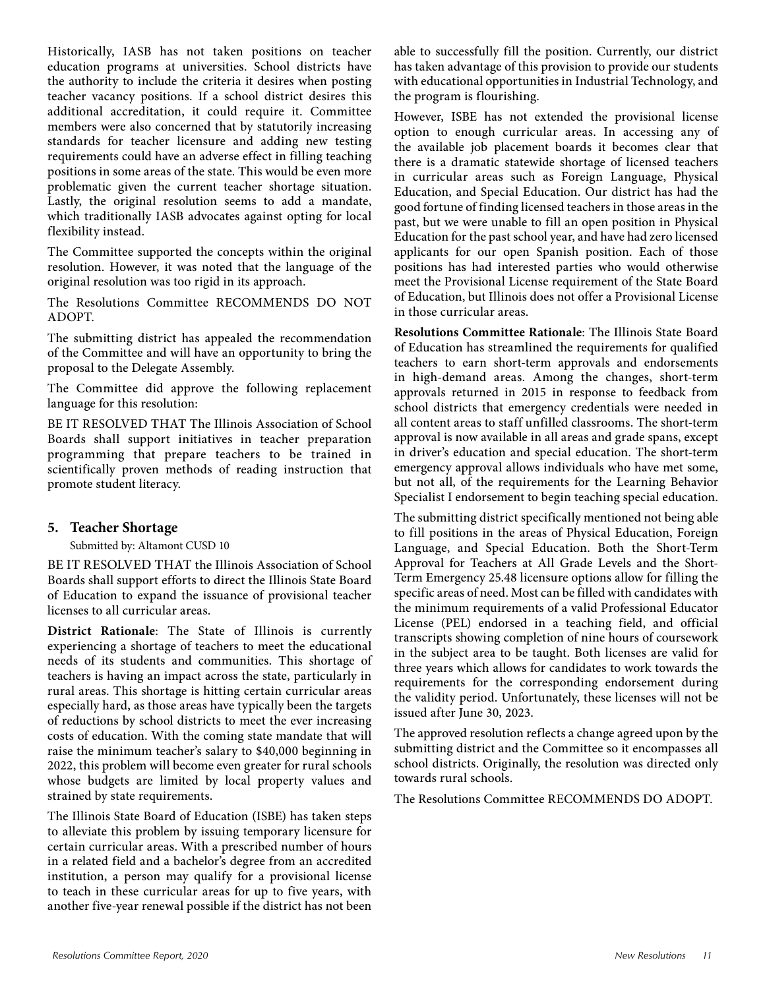Historically, IASB has not taken positions on teacher education programs at universities. School districts have the authority to include the criteria it desires when posting teacher vacancy positions. If a school district desires this additional accreditation, it could require it. Committee members were also concerned that by statutorily increasing standards for teacher licensure and adding new testing requirements could have an adverse effect in filling teaching positions in some areas of the state. This would be even more problematic given the current teacher shortage situation. Lastly, the original resolution seems to add a mandate, which traditionally IASB advocates against opting for local flexibility instead.

The Committee supported the concepts within the original resolution. However, it was noted that the language of the original resolution was too rigid in its approach.

The Resolutions Committee RECOMMENDS DO NOT ADOPT.

The submitting district has appealed the recommendation of the Committee and will have an opportunity to bring the proposal to the Delegate Assembly.

The Committee did approve the following replacement language for this resolution:

BE IT RESOLVED THAT The Illinois Association of School Boards shall support initiatives in teacher preparation programming that prepare teachers to be trained in scientifically proven methods of reading instruction that promote student literacy.

#### **5. Teacher Shortage**

Submitted by: Altamont CUSD 10

BE IT RESOLVED THAT the Illinois Association of School Boards shall support efforts to direct the Illinois State Board of Education to expand the issuance of provisional teacher licenses to all curricular areas.

**District Rationale**: The State of Illinois is currently experiencing a shortage of teachers to meet the educational needs of its students and communities. This shortage of teachers is having an impact across the state, particularly in rural areas. This shortage is hitting certain curricular areas especially hard, as those areas have typically been the targets of reductions by school districts to meet the ever increasing costs of education. With the coming state mandate that will raise the minimum teacher's salary to \$40,000 beginning in 2022, this problem will become even greater for rural schools whose budgets are limited by local property values and strained by state requirements.

The Illinois State Board of Education (ISBE) has taken steps to alleviate this problem by issuing temporary licensure for certain curricular areas. With a prescribed number of hours in a related field and a bachelor's degree from an accredited institution, a person may qualify for a provisional license to teach in these curricular areas for up to five years, with another five-year renewal possible if the district has not been

able to successfully fill the position. Currently, our district has taken advantage of this provision to provide our students with educational opportunities in Industrial Technology, and the program is flourishing.

However, ISBE has not extended the provisional license option to enough curricular areas. In accessing any of the available job placement boards it becomes clear that there is a dramatic statewide shortage of licensed teachers in curricular areas such as Foreign Language, Physical Education, and Special Education. Our district has had the good fortune of finding licensed teachers in those areas in the past, but we were unable to fill an open position in Physical Education for the past school year, and have had zero licensed applicants for our open Spanish position. Each of those positions has had interested parties who would otherwise meet the Provisional License requirement of the State Board of Education, but Illinois does not offer a Provisional License in those curricular areas.

**Resolutions Committee Rationale**: The Illinois State Board of Education has streamlined the requirements for qualified teachers to earn short-term approvals and endorsements in high-demand areas. Among the changes, short-term approvals returned in 2015 in response to feedback from school districts that emergency credentials were needed in all content areas to staff unfilled classrooms. The short-term approval is now available in all areas and grade spans, except in driver's education and special education. The short-term emergency approval allows individuals who have met some, but not all, of the requirements for the Learning Behavior Specialist I endorsement to begin teaching special education.

The submitting district specifically mentioned not being able to fill positions in the areas of Physical Education, Foreign Language, and Special Education. Both the Short-Term Approval for Teachers at All Grade Levels and the Short-Term Emergency 25.48 licensure options allow for filling the specific areas of need. Most can be filled with candidates with the minimum requirements of a valid Professional Educator License (PEL) endorsed in a teaching field, and official transcripts showing completion of nine hours of coursework in the subject area to be taught. Both licenses are valid for three years which allows for candidates to work towards the requirements for the corresponding endorsement during the validity period. Unfortunately, these licenses will not be issued after June 30, 2023.

The approved resolution reflects a change agreed upon by the submitting district and the Committee so it encompasses all school districts. Originally, the resolution was directed only towards rural schools.

The Resolutions Committee RECOMMENDS DO ADOPT.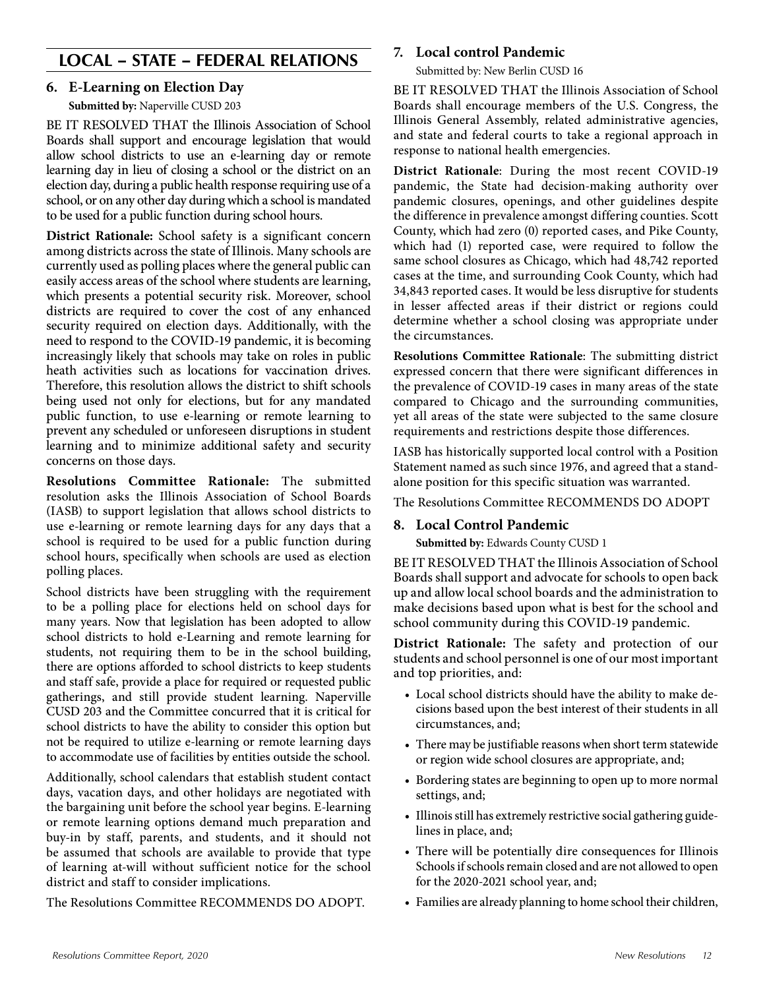### **LOCAL – STATE – FEDERAL RELATIONS**

#### **6. E-Learning on Election Day**

**Submitted by:** Naperville CUSD 203

BE IT RESOLVED THAT the Illinois Association of School Boards shall support and encourage legislation that would allow school districts to use an e-learning day or remote learning day in lieu of closing a school or the district on an election day, during a public health response requiring use of a school, or on any other day during which a school is mandated to be used for a public function during school hours.

**District Rationale:** School safety is a significant concern among districts across the state of Illinois. Many schools are currently used as polling places where the general public can easily access areas of the school where students are learning, which presents a potential security risk. Moreover, school districts are required to cover the cost of any enhanced security required on election days. Additionally, with the need to respond to the COVID-19 pandemic, it is becoming increasingly likely that schools may take on roles in public heath activities such as locations for vaccination drives. Therefore, this resolution allows the district to shift schools being used not only for elections, but for any mandated public function, to use e-learning or remote learning to prevent any scheduled or unforeseen disruptions in student learning and to minimize additional safety and security concerns on those days.

**Resolutions Committee Rationale:** The submitted resolution asks the Illinois Association of School Boards (IASB) to support legislation that allows school districts to use e-learning or remote learning days for any days that a school is required to be used for a public function during school hours, specifically when schools are used as election polling places.

School districts have been struggling with the requirement to be a polling place for elections held on school days for many years. Now that legislation has been adopted to allow school districts to hold e-Learning and remote learning for students, not requiring them to be in the school building, there are options afforded to school districts to keep students and staff safe, provide a place for required or requested public gatherings, and still provide student learning. Naperville CUSD 203 and the Committee concurred that it is critical for school districts to have the ability to consider this option but not be required to utilize e-learning or remote learning days to accommodate use of facilities by entities outside the school.

Additionally, school calendars that establish student contact days, vacation days, and other holidays are negotiated with the bargaining unit before the school year begins. E-learning or remote learning options demand much preparation and buy-in by staff, parents, and students, and it should not be assumed that schools are available to provide that type of learning at-will without sufficient notice for the school district and staff to consider implications.

The Resolutions Committee RECOMMENDS DO ADOPT.

#### **7. Local control Pandemic**

Submitted by: New Berlin CUSD 16

BE IT RESOLVED THAT the Illinois Association of School Boards shall encourage members of the U.S. Congress, the Illinois General Assembly, related administrative agencies, and state and federal courts to take a regional approach in response to national health emergencies.

**District Rationale**: During the most recent COVID-19 pandemic, the State had decision-making authority over pandemic closures, openings, and other guidelines despite the difference in prevalence amongst differing counties. Scott County, which had zero (0) reported cases, and Pike County, which had (1) reported case, were required to follow the same school closures as Chicago, which had 48,742 reported cases at the time, and surrounding Cook County, which had 34,843 reported cases. It would be less disruptive for students in lesser affected areas if their district or regions could determine whether a school closing was appropriate under the circumstances.

**Resolutions Committee Rationale**: The submitting district expressed concern that there were significant differences in the prevalence of COVID-19 cases in many areas of the state compared to Chicago and the surrounding communities, yet all areas of the state were subjected to the same closure requirements and restrictions despite those differences.

IASB has historically supported local control with a Position Statement named as such since 1976, and agreed that a standalone position for this specific situation was warranted.

The Resolutions Committee RECOMMENDS DO ADOPT

#### **8. Local Control Pandemic**

**Submitted by: Edwards County CUSD 1** 

BE IT RESOLVED THAT the Illinois Association of School Boards shall support and advocate for schools to open back up and allow local school boards and the administration to make decisions based upon what is best for the school and school community during this COVID-19 pandemic.

**District Rationale:** The safety and protection of our students and school personnel is one of our most important and top priorities, and:

- Local school districts should have the ability to make decisions based upon the best interest of their students in all circumstances, and;
- There may be justifiable reasons when short term statewide or region wide school closures are appropriate, and;
- Bordering states are beginning to open up to more normal settings, and;
- Illinois still has extremely restrictive social gathering guidelines in place, and;
- There will be potentially dire consequences for Illinois Schools if schools remain closed and are not allowed to open for the 2020-2021 school year, and;
- Families are already planning to home school their children,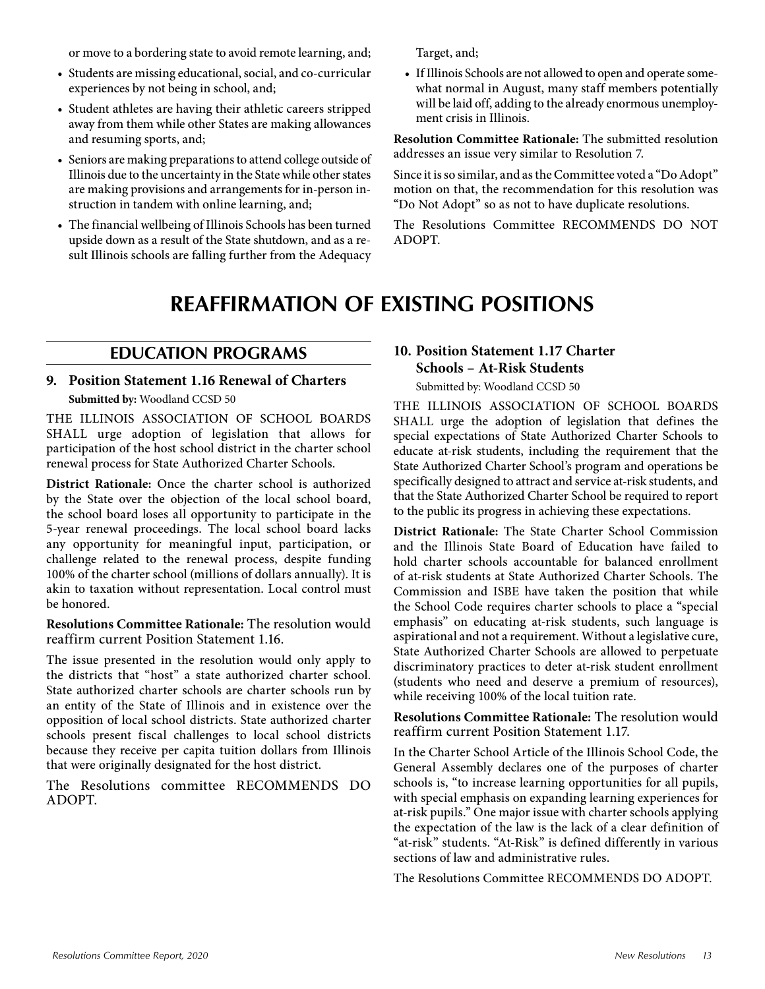or move to a bordering state to avoid remote learning, and;

- Students are missing educational, social, and co-curricular experiences by not being in school, and;
- Student athletes are having their athletic careers stripped away from them while other States are making allowances and resuming sports, and;
- Seniors are making preparations to attend college outside of Illinois due to the uncertainty in the State while other states are making provisions and arrangements for in-person instruction in tandem with online learning, and;
- The financial wellbeing of Illinois Schools has been turned upside down as a result of the State shutdown, and as a result Illinois schools are falling further from the Adequacy

## **REAFFIRMATION OF EXISTING POSITIONS**

ADOPT.

#### **EDUCATION PROGRAMS**

**9. Position Statement 1.16 Renewal of Charters Submitted by:** Woodland CCSD 50

THE ILLINOIS ASSOCIATION OF SCHOOL BOARDS SHALL urge adoption of legislation that allows for participation of the host school district in the charter school renewal process for State Authorized Charter Schools.

**District Rationale:** Once the charter school is authorized by the State over the objection of the local school board, the school board loses all opportunity to participate in the 5-year renewal proceedings. The local school board lacks any opportunity for meaningful input, participation, or challenge related to the renewal process, despite funding 100% of the charter school (millions of dollars annually). It is akin to taxation without representation. Local control must be honored.

**Resolutions Committee Rationale:** The resolution would reaffirm current Position Statement 1.16.

The issue presented in the resolution would only apply to the districts that "host" a state authorized charter school. State authorized charter schools are charter schools run by an entity of the State of Illinois and in existence over the opposition of local school districts. State authorized charter schools present fiscal challenges to local school districts because they receive per capita tuition dollars from Illinois that were originally designated for the host district.

The Resolutions committee RECOMMENDS DO ADOPT.

### **10. Position Statement 1.17 Charter Schools – At-Risk Students**

Submitted by: Woodland CCSD 50

Target, and;

ment crisis in Illinois.

THE ILLINOIS ASSOCIATION OF SCHOOL BOARDS SHALL urge the adoption of legislation that defines the special expectations of State Authorized Charter Schools to educate at-risk students, including the requirement that the State Authorized Charter School's program and operations be specifically designed to attract and service at-risk students, and that the State Authorized Charter School be required to report to the public its progress in achieving these expectations.

• If Illinois Schools are not allowed to open and operate somewhat normal in August, many staff members potentially will be laid off, adding to the already enormous unemploy-

**Resolution Committee Rationale:** The submitted resolution

Since it is so similar, and as the Committee voted a "Do Adopt" motion on that, the recommendation for this resolution was "Do Not Adopt" so as not to have duplicate resolutions. The Resolutions Committee RECOMMENDS DO NOT

addresses an issue very similar to Resolution 7.

**District Rationale:** The State Charter School Commission and the Illinois State Board of Education have failed to hold charter schools accountable for balanced enrollment of at-risk students at State Authorized Charter Schools. The Commission and ISBE have taken the position that while the School Code requires charter schools to place a "special emphasis" on educating at-risk students, such language is aspirational and not a requirement. Without a legislative cure, State Authorized Charter Schools are allowed to perpetuate discriminatory practices to deter at-risk student enrollment (students who need and deserve a premium of resources), while receiving 100% of the local tuition rate.

**Resolutions Committee Rationale:** The resolution would reaffirm current Position Statement 1.17.

In the Charter School Article of the Illinois School Code, the General Assembly declares one of the purposes of charter schools is, "to increase learning opportunities for all pupils, with special emphasis on expanding learning experiences for at-risk pupils." One major issue with charter schools applying the expectation of the law is the lack of a clear definition of "at-risk" students. "At-Risk" is defined differently in various sections of law and administrative rules.

The Resolutions Committee RECOMMENDS DO ADOPT.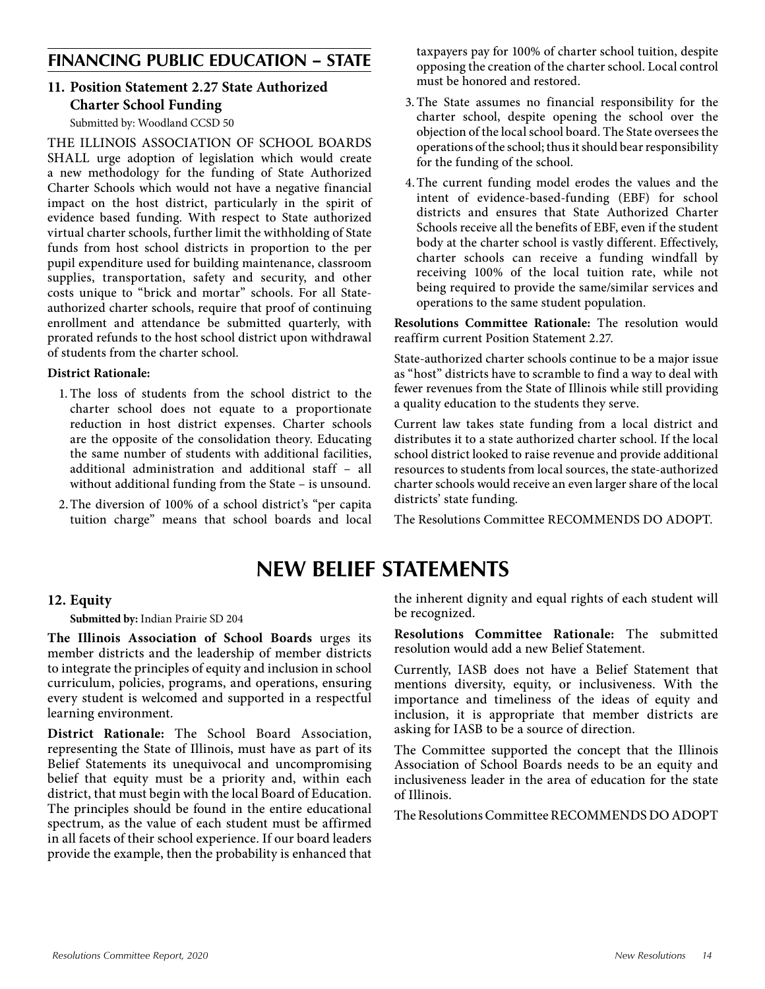### **FINANCING PUBLIC EDUCATION – STATE**

#### **11. Position Statement 2.27 State Authorized Charter School Funding**

Submitted by: Woodland CCSD 50

THE ILLINOIS ASSOCIATION OF SCHOOL BOARDS SHALL urge adoption of legislation which would create a new methodology for the funding of State Authorized Charter Schools which would not have a negative financial impact on the host district, particularly in the spirit of evidence based funding. With respect to State authorized virtual charter schools, further limit the withholding of State funds from host school districts in proportion to the per pupil expenditure used for building maintenance, classroom supplies, transportation, safety and security, and other costs unique to "brick and mortar" schools. For all Stateauthorized charter schools, require that proof of continuing enrollment and attendance be submitted quarterly, with prorated refunds to the host school district upon withdrawal of students from the charter school.

#### **District Rationale:**

- 1. The loss of students from the school district to the charter school does not equate to a proportionate reduction in host district expenses. Charter schools are the opposite of the consolidation theory. Educating the same number of students with additional facilities, additional administration and additional staff – all without additional funding from the State – is unsound.
- 2.The diversion of 100% of a school district's "per capita tuition charge" means that school boards and local

taxpayers pay for 100% of charter school tuition, despite opposing the creation of the charter school. Local control must be honored and restored.

- 3.The State assumes no financial responsibility for the charter school, despite opening the school over the objection of the local school board. The State oversees the operations of the school; thus it should bear responsibility for the funding of the school.
- 4.The current funding model erodes the values and the intent of evidence-based-funding (EBF) for school districts and ensures that State Authorized Charter Schools receive all the benefits of EBF, even if the student body at the charter school is vastly different. Effectively, charter schools can receive a funding windfall by receiving 100% of the local tuition rate, while not being required to provide the same/similar services and operations to the same student population.

**Resolutions Committee Rationale:** The resolution would reaffirm current Position Statement 2.27.

State-authorized charter schools continue to be a major issue as "host" districts have to scramble to find a way to deal with fewer revenues from the State of Illinois while still providing a quality education to the students they serve.

Current law takes state funding from a local district and distributes it to a state authorized charter school. If the local school district looked to raise revenue and provide additional resources to students from local sources, the state-authorized charter schools would receive an even larger share of the local districts' state funding.

The Resolutions Committee RECOMMENDS DO ADOPT.

## **NEW BELIEF STATEMENTS**

#### **12. Equity**

**Submitted by:** Indian Prairie SD 204

**The Illinois Association of School Boards** urges its member districts and the leadership of member districts to integrate the principles of equity and inclusion in school curriculum, policies, programs, and operations, ensuring every student is welcomed and supported in a respectful learning environment.

**District Rationale:** The School Board Association, representing the State of Illinois, must have as part of its Belief Statements its unequivocal and uncompromising belief that equity must be a priority and, within each district, that must begin with the local Board of Education. The principles should be found in the entire educational spectrum, as the value of each student must be affirmed in all facets of their school experience. If our board leaders provide the example, then the probability is enhanced that the inherent dignity and equal rights of each student will be recognized.

**Resolutions Committee Rationale:** The submitted resolution would add a new Belief Statement.

Currently, IASB does not have a Belief Statement that mentions diversity, equity, or inclusiveness. With the importance and timeliness of the ideas of equity and inclusion, it is appropriate that member districts are asking for IASB to be a source of direction.

The Committee supported the concept that the Illinois Association of School Boards needs to be an equity and inclusiveness leader in the area of education for the state of Illinois.

The Resolutions Committee RECOMMENDS DO ADOPT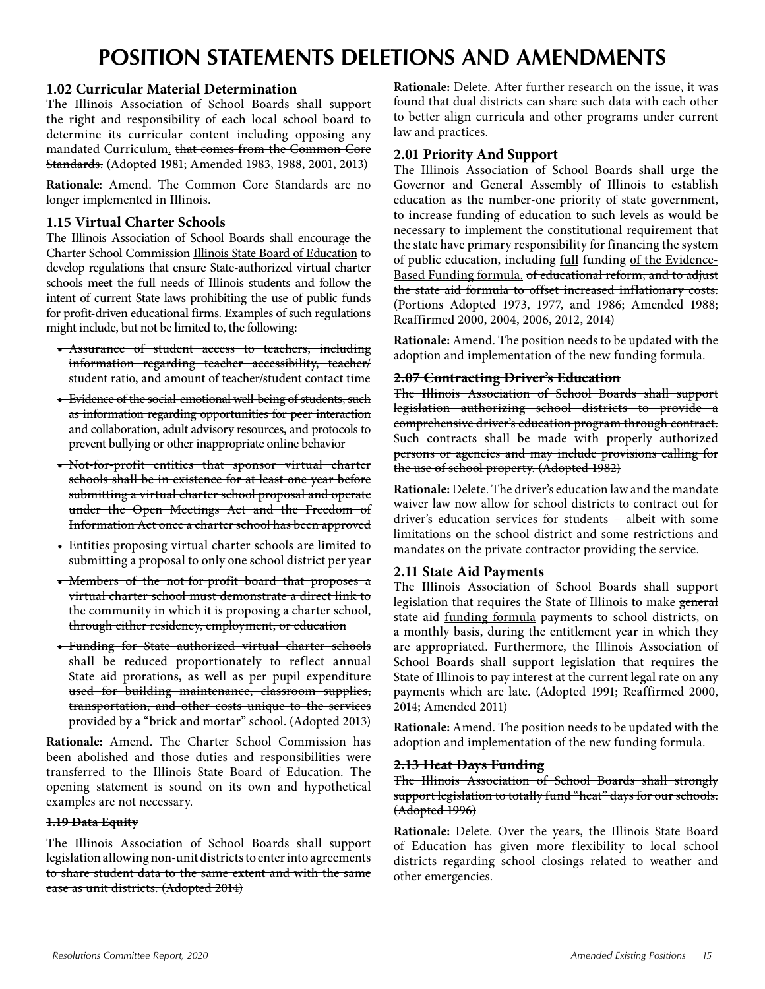## **POSITION STATEMENTS DELETIONS AND AMENDMENTS**

#### **1.02 Curricular Material Determination**

The Illinois Association of School Boards shall support the right and responsibility of each local school board to determine its curricular content including opposing any mandated Curriculum. that comes from the Common Core Standards. (Adopted 1981; Amended 1983, 1988, 2001, 2013)

**Rationale**: Amend. The Common Core Standards are no longer implemented in Illinois.

#### **1.15 Virtual Charter Schools**

The Illinois Association of School Boards shall encourage the Charter School Commission Illinois State Board of Education to develop regulations that ensure State-authorized virtual charter schools meet the full needs of Illinois students and follow the intent of current State laws prohibiting the use of public funds for profit-driven educational firms. Examples of such regulations might include, but not be limited to, the following:

- Assurance of student access to teachers, including information regarding teacher accessibility, teacher/ student ratio, and amount of teacher/student contact time
- Evidence of the social-emotional well-being of students, such as information regarding opportunities for peer interaction and collaboration, adult advisory resources, and protocols to prevent bullying or other inappropriate online behavior
- Not-for-profit entities that sponsor virtual charter schools shall be in existence for at least one year before submitting a virtual charter school proposal and operate under the Open Meetings Act and the Freedom of Information Act once a charter school has been approved
- Entities proposing virtual charter schools are limited to submitting a proposal to only one school district per year
- Members of the not-for-profit board that proposes a virtual charter school must demonstrate a direct link to the community in which it is proposing a charter school, through either residency, employment, or education
- Funding for State authorized virtual charter schools shall be reduced proportionately to reflect annual State aid prorations, as well as per pupil expenditure used for building maintenance, classroom supplies, transportation, and other costs unique to the services provided by a "brick and mortar" school. (Adopted 2013)

**Rationale:** Amend. The Charter School Commission has been abolished and those duties and responsibilities were transferred to the Illinois State Board of Education. The opening statement is sound on its own and hypothetical examples are not necessary.

#### **1.19 Data Equity**

The Illinois Association of School Boards shall support legislation allowing non-unit districts to enter into agreements to share student data to the same extent and with the same ease as unit districts. (Adopted 2014)

**Rationale:** Delete. After further research on the issue, it was found that dual districts can share such data with each other to better align curricula and other programs under current law and practices.

#### **2.01 Priority And Support**

The Illinois Association of School Boards shall urge the Governor and General Assembly of Illinois to establish education as the number-one priority of state government, to increase funding of education to such levels as would be necessary to implement the constitutional requirement that the state have primary responsibility for financing the system of public education, including full funding of the Evidence-Based Funding formula. of educational reform, and to adjust the state aid formula to offset increased inflationary costs. (Portions Adopted 1973, 1977, and 1986; Amended 1988; Reaffirmed 2000, 2004, 2006, 2012, 2014)

**Rationale:** Amend. The position needs to be updated with the adoption and implementation of the new funding formula.

#### **2.07 Contracting Driver's Education**

The Illinois Association of School Boards shall support legislation authorizing school districts to provide a comprehensive driver's education program through contract. Such contracts shall be made with properly authorized persons or agencies and may include provisions calling for the use of school property. (Adopted 1982)

**Rationale:** Delete. The driver's education law and the mandate waiver law now allow for school districts to contract out for driver's education services for students – albeit with some limitations on the school district and some restrictions and mandates on the private contractor providing the service.

#### **2.11 State Aid Payments**

The Illinois Association of School Boards shall support legislation that requires the State of Illinois to make general state aid funding formula payments to school districts, on a monthly basis, during the entitlement year in which they are appropriated. Furthermore, the Illinois Association of School Boards shall support legislation that requires the State of Illinois to pay interest at the current legal rate on any payments which are late. (Adopted 1991; Reaffirmed 2000, 2014; Amended 2011)

**Rationale:** Amend. The position needs to be updated with the adoption and implementation of the new funding formula.

#### **2.13 Heat Days Funding**

The Illinois Association of School Boards shall strongly support legislation to totally fund "heat" days for our schools. (Adopted 1996)

**Rationale:** Delete. Over the years, the Illinois State Board of Education has given more flexibility to local school districts regarding school closings related to weather and other emergencies.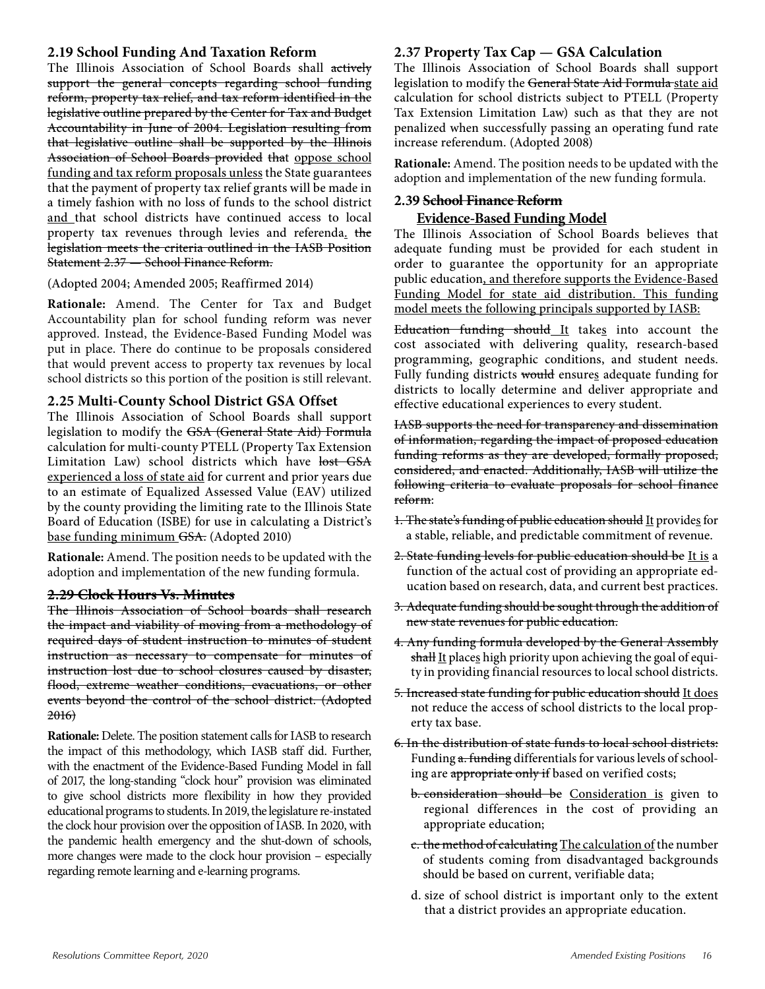#### **2.19 School Funding And Taxation Reform**

The Illinois Association of School Boards shall actively support the general concepts regarding school funding reform, property tax relief, and tax reform identified in the legislative outline prepared by the Center for Tax and Budget Accountability in June of 2004. Legislation resulting from that legislative outline shall be supported by the Illinois Association of School Boards provided that oppose school funding and tax reform proposals unless the State guarantees that the payment of property tax relief grants will be made in a timely fashion with no loss of funds to the school district and that school districts have continued access to local property tax revenues through levies and referenda. the legislation meets the criteria outlined in the IASB Position Statement 2.37 — School Finance Reform.

#### (Adopted 2004; Amended 2005; Reaffirmed 2014)

**Rationale:** Amend. The Center for Tax and Budget Accountability plan for school funding reform was never approved. Instead, the Evidence-Based Funding Model was put in place. There do continue to be proposals considered that would prevent access to property tax revenues by local school districts so this portion of the position is still relevant.

#### **2.25 Multi-County School District GSA Offset**

The Illinois Association of School Boards shall support legislation to modify the GSA (General State Aid) Formula calculation for multi-county PTELL (Property Tax Extension Limitation Law) school districts which have lost GSA experienced a loss of state aid for current and prior years due to an estimate of Equalized Assessed Value (EAV) utilized by the county providing the limiting rate to the Illinois State Board of Education (ISBE) for use in calculating a District's base funding minimum GSA. (Adopted 2010)

**Rationale:** Amend. The position needs to be updated with the adoption and implementation of the new funding formula.

#### **2.29 Clock Hours Vs. Minutes**

The Illinois Association of School boards shall research the impact and viability of moving from a methodology of required days of student instruction to minutes of student instruction as necessary to compensate for minutes of instruction lost due to school closures caused by disaster, flood, extreme weather conditions, evacuations, or other events beyond the control of the school district. (Adopted 2016)

**Rationale:** Delete. The position statement calls for IASB to research the impact of this methodology, which IASB staff did. Further, with the enactment of the Evidence-Based Funding Model in fall of 2017, the long-standing "clock hour" provision was eliminated to give school districts more flexibility in how they provided educational programs to students. In 2019, the legislature re-instated the clock hour provision over the opposition of IASB. In 2020, with the pandemic health emergency and the shut-down of schools, more changes were made to the clock hour provision – especially regarding remote learning and e-learning programs.

#### **2.37 Property Tax Cap — GSA Calculation**

The Illinois Association of School Boards shall support legislation to modify the General State Aid Formula state aid calculation for school districts subject to PTELL (Property Tax Extension Limitation Law) such as that they are not penalized when successfully passing an operating fund rate increase referendum. (Adopted 2008)

**Rationale:** Amend. The position needs to be updated with the adoption and implementation of the new funding formula.

#### **2.39 School Finance Reform**

#### **Evidence-Based Funding Model**

The Illinois Association of School Boards believes that adequate funding must be provided for each student in order to guarantee the opportunity for an appropriate public education, and therefore supports the Evidence-Based Funding Model for state aid distribution. This funding model meets the following principals supported by IASB:

Education funding should It takes into account the cost associated with delivering quality, research-based programming, geographic conditions, and student needs. Fully funding districts would ensures adequate funding for districts to locally determine and deliver appropriate and effective educational experiences to every student.

IASB supports the need for transparency and dissemination of information, regarding the impact of proposed education funding reforms as they are developed, formally proposed, considered, and enacted. Additionally, IASB will utilize the following criteria to evaluate proposals for school finance reform:

- 1. The state's funding of public education should It provides for a stable, reliable, and predictable commitment of revenue.
- 2. State funding levels for public education should be It is a function of the actual cost of providing an appropriate education based on research, data, and current best practices.
- 3. Adequate funding should be sought through the addition of new state revenues for public education.
- 4. Any funding formula developed by the General Assembly shall It places high priority upon achieving the goal of equity in providing financial resources to local school districts.
- 5. Increased state funding for public education should It does not reduce the access of school districts to the local property tax base.
- 6. In the distribution of state funds to local school districts: Funding a. funding differentials for various levels of schooling are appropriate only if based on verified costs;
	- b. consideration should be Consideration is given to regional differences in the cost of providing an appropriate education;
	- c. the method of calculating The calculation of the number of students coming from disadvantaged backgrounds should be based on current, verifiable data;
	- d. size of school district is important only to the extent that a district provides an appropriate education.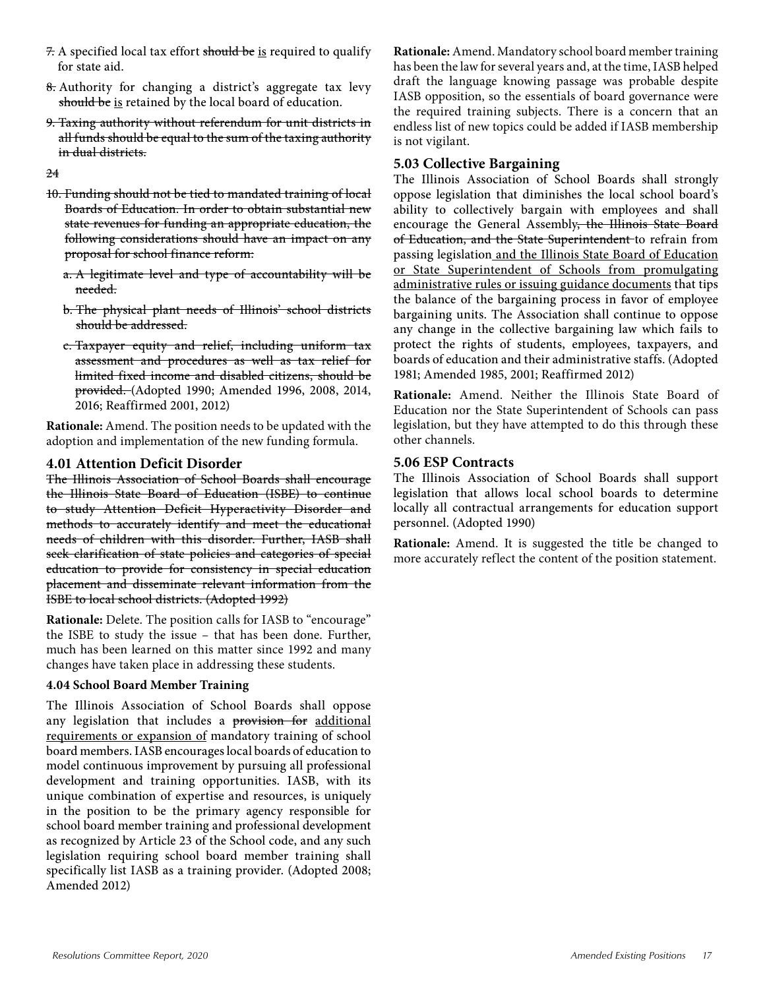- 7. A specified local tax effort should be is required to qualify for state aid.
- 8. Authority for changing a district's aggregate tax levy should be is retained by the local board of education.
- 9. Taxing authority without referendum for unit districts in all funds should be equal to the sum of the taxing authority in dual districts.

24

- 10. Funding should not be tied to mandated training of local Boards of Education. In order to obtain substantial new state revenues for funding an appropriate education, the following considerations should have an impact on any proposal for school finance reform:
	- a. A legitimate level and type of accountability will be needed.
	- b. The physical plant needs of Illinois' school districts should be addressed.
	- c. Taxpayer equity and relief, including uniform tax assessment and procedures as well as tax relief for limited fixed income and disabled citizens, should be provided. (Adopted 1990; Amended 1996, 2008, 2014, 2016; Reaffirmed 2001, 2012)

**Rationale:** Amend. The position needs to be updated with the adoption and implementation of the new funding formula.

#### **4.01 Attention Deficit Disorder**

The Illinois Association of School Boards shall encourage the Illinois State Board of Education (ISBE) to continue to study Attention Deficit Hyperactivity Disorder and methods to accurately identify and meet the educational needs of children with this disorder. Further, IASB shall seek clarification of state policies and categories of special education to provide for consistency in special education placement and disseminate relevant information from the ISBE to local school districts. (Adopted 1992)

**Rationale:** Delete. The position calls for IASB to "encourage" the ISBE to study the issue – that has been done. Further, much has been learned on this matter since 1992 and many changes have taken place in addressing these students.

#### **4.04 School Board Member Training**

The Illinois Association of School Boards shall oppose any legislation that includes a provision for additional requirements or expansion of mandatory training of school board members. IASB encourages local boards of education to model continuous improvement by pursuing all professional development and training opportunities. IASB, with its unique combination of expertise and resources, is uniquely in the position to be the primary agency responsible for school board member training and professional development as recognized by Article 23 of the School code, and any such legislation requiring school board member training shall specifically list IASB as a training provider. (Adopted 2008; Amended 2012)

**Rationale:**Amend. Mandatory school board member training has been the law for several years and, at the time, IASB helped draft the language knowing passage was probable despite IASB opposition, so the essentials of board governance were the required training subjects. There is a concern that an endless list of new topics could be added if IASB membership is not vigilant.

#### **5.03 Collective Bargaining**

The Illinois Association of School Boards shall strongly oppose legislation that diminishes the local school board's ability to collectively bargain with employees and shall encourage the General Assembly, the Illinois State Board of Education, and the State Superintendent to refrain from passing legislation and the Illinois State Board of Education or State Superintendent of Schools from promulgating administrative rules or issuing guidance documents that tips the balance of the bargaining process in favor of employee bargaining units. The Association shall continue to oppose any change in the collective bargaining law which fails to protect the rights of students, employees, taxpayers, and boards of education and their administrative staffs. (Adopted 1981; Amended 1985, 2001; Reaffirmed 2012)

**Rationale:** Amend. Neither the Illinois State Board of Education nor the State Superintendent of Schools can pass legislation, but they have attempted to do this through these other channels.

#### **5.06 ESP Contracts**

The Illinois Association of School Boards shall support legislation that allows local school boards to determine locally all contractual arrangements for education support personnel. (Adopted 1990)

**Rationale:** Amend. It is suggested the title be changed to more accurately reflect the content of the position statement.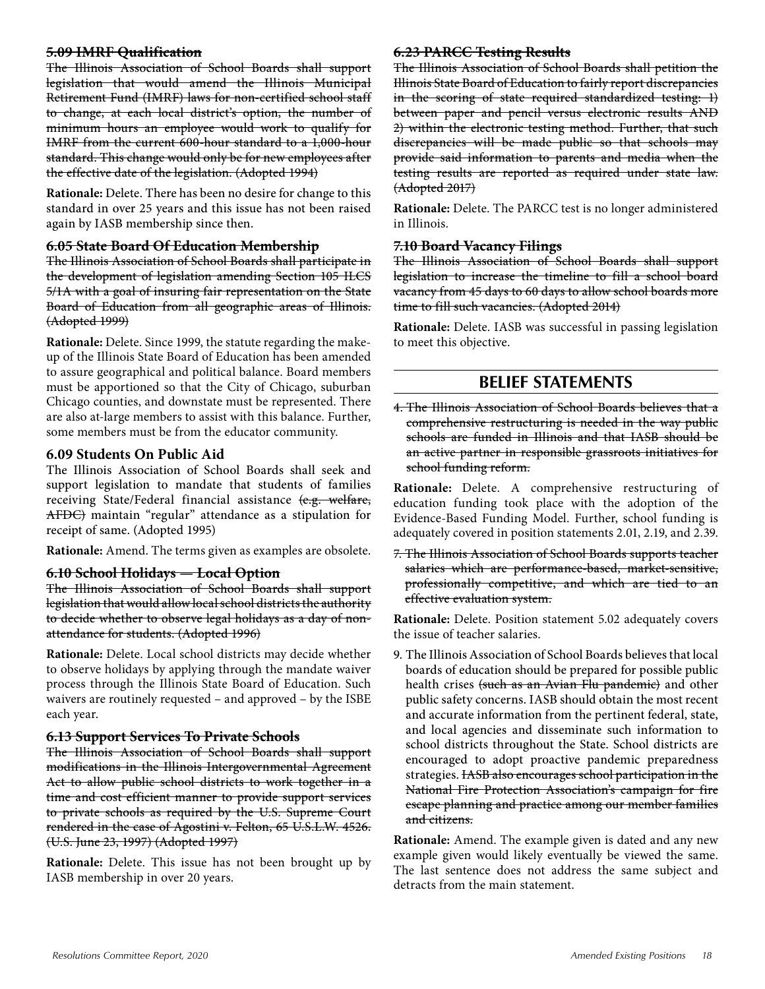#### **5.09 IMRF Qualification**

The Illinois Association of School Boards shall support legislation that would amend the Illinois Municipal Retirement Fund (IMRF) laws for non-certified school staff to change, at each local district's option, the number of minimum hours an employee would work to qualify for IMRF from the current 600-hour standard to a 1,000-hour standard. This change would only be for new employees after the effective date of the legislation. (Adopted 1994)

**Rationale:** Delete. There has been no desire for change to this standard in over 25 years and this issue has not been raised again by IASB membership since then.

#### **6.05 State Board Of Education Membership**

The Illinois Association of School Boards shall participate in the development of legislation amending Section 105 ILCS 5/1A with a goal of insuring fair representation on the State Board of Education from all geographic areas of Illinois. (Adopted 1999)

**Rationale:** Delete. Since 1999, the statute regarding the makeup of the Illinois State Board of Education has been amended to assure geographical and political balance. Board members must be apportioned so that the City of Chicago, suburban Chicago counties, and downstate must be represented. There are also at-large members to assist with this balance. Further, some members must be from the educator community.

#### **6.09 Students On Public Aid**

The Illinois Association of School Boards shall seek and support legislation to mandate that students of families receiving State/Federal financial assistance (e.g. welfare, AFDC) maintain "regular" attendance as a stipulation for receipt of same. (Adopted 1995)

**Rationale:** Amend. The terms given as examples are obsolete.

#### **6.10 School Holidays — Local Option**

The Illinois Association of School Boards shall support legislation that would allow local school districts the authority to decide whether to observe legal holidays as a day of nonattendance for students. (Adopted 1996)

**Rationale:** Delete. Local school districts may decide whether to observe holidays by applying through the mandate waiver process through the Illinois State Board of Education. Such waivers are routinely requested – and approved – by the ISBE each year.

#### **6.13 Support Services To Private Schools**

The Illinois Association of School Boards shall support modifications in the Illinois Intergovernmental Agreement Act to allow public school districts to work together in a time and cost efficient manner to provide support services to private schools as required by the U.S. Supreme Court rendered in the case of Agostini v. Felton, 65 U.S.L.W. 4526. (U.S. June 23, 1997) (Adopted 1997)

**Rationale:** Delete. This issue has not been brought up by IASB membership in over 20 years.

#### **6.23 PARCC Testing Results**

The Illinois Association of School Boards shall petition the Illinois State Board of Education to fairly report discrepancies in the scoring of state required standardized testing: 1) between paper and pencil versus electronic results AND 2) within the electronic testing method. Further, that such discrepancies will be made public so that schools may provide said information to parents and media when the testing results are reported as required under state law. (Adopted 2017)

**Rationale:** Delete. The PARCC test is no longer administered in Illinois.

#### **7.10 Board Vacancy Filings**

The Illinois Association of School Boards shall support legislation to increase the timeline to fill a school board vacancy from 45 days to 60 days to allow school boards more time to fill such vacancies. (Adopted 2014)

**Rationale:** Delete. IASB was successful in passing legislation to meet this objective.

### **BELIEF STATEMENTS**

4. The Illinois Association of School Boards believes that a comprehensive restructuring is needed in the way public schools are funded in Illinois and that IASB should be an active partner in responsible grassroots initiatives for school funding reform.

**Rationale:** Delete. A comprehensive restructuring of education funding took place with the adoption of the Evidence-Based Funding Model. Further, school funding is adequately covered in position statements 2.01, 2.19, and 2.39.

7. The Illinois Association of School Boards supports teacher salaries which are performance-based, market-sensitive, professionally competitive, and which are tied to an effective evaluation system.

**Rationale:** Delete. Position statement 5.02 adequately covers the issue of teacher salaries.

9. The Illinois Association of School Boards believes that local boards of education should be prepared for possible public health crises (such as an Avian Flu pandemic) and other public safety concerns. IASB should obtain the most recent and accurate information from the pertinent federal, state, and local agencies and disseminate such information to school districts throughout the State. School districts are encouraged to adopt proactive pandemic preparedness strategies. IASB also encourages school participation in the National Fire Protection Association's campaign for fire escape planning and practice among our member families and citizens.

**Rationale:** Amend. The example given is dated and any new example given would likely eventually be viewed the same. The last sentence does not address the same subject and detracts from the main statement.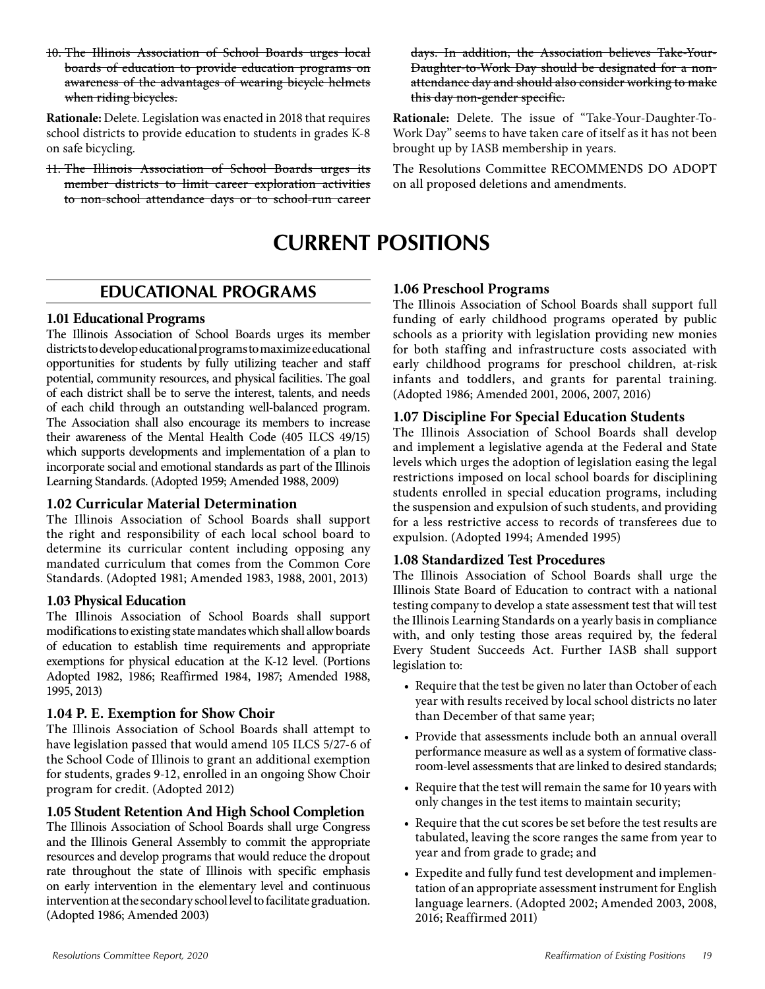10. The Illinois Association of School Boards urges local boards of education to provide education programs on awareness of the advantages of wearing bicycle helmets when riding bicycles.

**Rationale:** Delete. Legislation was enacted in 2018 that requires school districts to provide education to students in grades K-8 on safe bicycling.

11. The Illinois Association of School Boards urges its member districts to limit career exploration activities to non-school attendance days or to school-run career days. In addition, the Association believes Take-Your-Daughter-to-Work Day should be designated for a nonattendance day and should also consider working to make this day non-gender specific.

**Rationale:** Delete. The issue of "Take-Your-Daughter-To-Work Day" seems to have taken care of itself as it has not been brought up by IASB membership in years.

The Resolutions Committee RECOMMENDS DO ADOPT on all proposed deletions and amendments.

## **CURRENT POSITIONS**

### **EDUCATIONAL PROGRAMS**

#### **1.01 Educational Programs**

The Illinois Association of School Boards urges its member districts to develop educational programs to maximize educational opportunities for students by fully utilizing teacher and staff potential, community resources, and physical facilities. The goal of each district shall be to serve the interest, talents, and needs of each child through an outstanding well-balanced program. The Association shall also encourage its members to increase their awareness of the Mental Health Code (405 ILCS 49/15) which supports developments and implementation of a plan to incorporate social and emotional standards as part of the Illinois Learning Standards. (Adopted 1959; Amended 1988, 2009)

#### **1.02 Curricular Material Determination**

The Illinois Association of School Boards shall support the right and responsibility of each local school board to determine its curricular content including opposing any mandated curriculum that comes from the Common Core Standards. (Adopted 1981; Amended 1983, 1988, 2001, 2013)

#### **1.03 Physical Education**

The Illinois Association of School Boards shall support modifications to existing state mandates which shall allow boards of education to establish time requirements and appropriate exemptions for physical education at the K-12 level. (Portions Adopted 1982, 1986; Reaffirmed 1984, 1987; Amended 1988, 1995, 2013)

#### **1.04 P. E. Exemption for Show Choir**

The Illinois Association of School Boards shall attempt to have legislation passed that would amend 105 ILCS 5/27-6 of the School Code of Illinois to grant an additional exemption for students, grades 9-12, enrolled in an ongoing Show Choir program for credit. (Adopted 2012)

#### **1.05 Student Retention And High School Completion**

The Illinois Association of School Boards shall urge Congress and the Illinois General Assembly to commit the appropriate resources and develop programs that would reduce the dropout rate throughout the state of Illinois with specific emphasis on early intervention in the elementary level and continuous intervention at the secondary school level to facilitate graduation. (Adopted 1986; Amended 2003)

#### **1.06 Preschool Programs**

The Illinois Association of School Boards shall support full funding of early childhood programs operated by public schools as a priority with legislation providing new monies for both staffing and infrastructure costs associated with early childhood programs for preschool children, at-risk infants and toddlers, and grants for parental training. (Adopted 1986; Amended 2001, 2006, 2007, 2016)

#### **1.07 Discipline For Special Education Students**

The Illinois Association of School Boards shall develop and implement a legislative agenda at the Federal and State levels which urges the adoption of legislation easing the legal restrictions imposed on local school boards for disciplining students enrolled in special education programs, including the suspension and expulsion of such students, and providing for a less restrictive access to records of transferees due to expulsion. (Adopted 1994; Amended 1995)

#### **1.08 Standardized Test Procedures**

The Illinois Association of School Boards shall urge the Illinois State Board of Education to contract with a national testing company to develop a state assessment test that will test the Illinois Learning Standards on a yearly basis in compliance with, and only testing those areas required by, the federal Every Student Succeeds Act. Further IASB shall support legislation to:

- Require that the test be given no later than October of each year with results received by local school districts no later than December of that same year;
- Provide that assessments include both an annual overall performance measure as well as a system of formative classroom-level assessments that are linked to desired standards;
- Require that the test will remain the same for 10 years with only changes in the test items to maintain security;
- Require that the cut scores be set before the test results are tabulated, leaving the score ranges the same from year to year and from grade to grade; and
- Expedite and fully fund test development and implementation of an appropriate assessment instrument for English language learners. (Adopted 2002; Amended 2003, 2008, 2016; Reaffirmed 2011)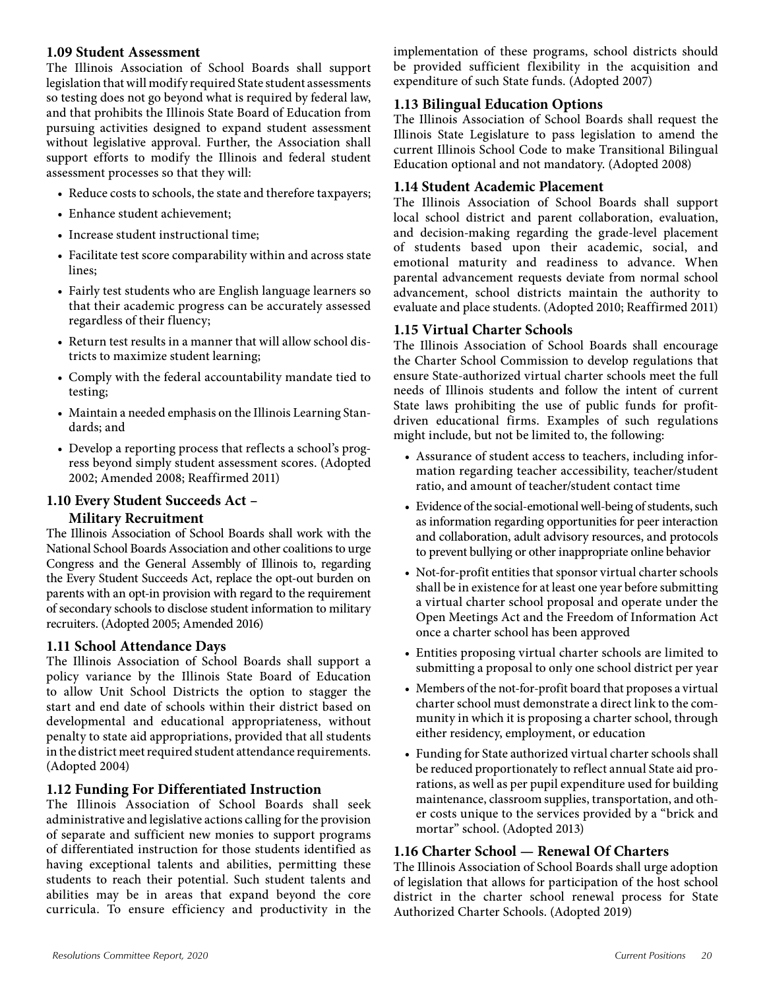#### **1.09 Student Assessment**

The Illinois Association of School Boards shall support legislation that will modify required State student assessments so testing does not go beyond what is required by federal law, and that prohibits the Illinois State Board of Education from pursuing activities designed to expand student assessment without legislative approval. Further, the Association shall support efforts to modify the Illinois and federal student assessment processes so that they will:

- Reduce costs to schools, the state and therefore taxpayers;
- Enhance student achievement;
- Increase student instructional time;
- Facilitate test score comparability within and across state lines;
- Fairly test students who are English language learners so that their academic progress can be accurately assessed regardless of their fluency;
- Return test results in a manner that will allow school districts to maximize student learning;
- Comply with the federal accountability mandate tied to testing;
- Maintain a needed emphasis on the Illinois Learning Standards; and
- Develop a reporting process that reflects a school's progress beyond simply student assessment scores. (Adopted 2002; Amended 2008; Reaffirmed 2011)

#### **1.10 Every Student Succeeds Act – Military Recruitment**

The Illinois Association of School Boards shall work with the National School Boards Association and other coalitions to urge Congress and the General Assembly of Illinois to, regarding the Every Student Succeeds Act, replace the opt-out burden on parents with an opt-in provision with regard to the requirement of secondary schools to disclose student information to military recruiters. (Adopted 2005; Amended 2016)

#### **1.11 School Attendance Days**

The Illinois Association of School Boards shall support a policy variance by the Illinois State Board of Education to allow Unit School Districts the option to stagger the start and end date of schools within their district based on developmental and educational appropriateness, without penalty to state aid appropriations, provided that all students in the district meet required student attendance requirements. (Adopted 2004)

#### **1.12 Funding For Differentiated Instruction**

The Illinois Association of School Boards shall seek administrative and legislative actions calling for the provision of separate and sufficient new monies to support programs of differentiated instruction for those students identified as having exceptional talents and abilities, permitting these students to reach their potential. Such student talents and abilities may be in areas that expand beyond the core curricula. To ensure efficiency and productivity in the

implementation of these programs, school districts should be provided sufficient flexibility in the acquisition and expenditure of such State funds. (Adopted 2007)

#### **1.13 Bilingual Education Options**

The Illinois Association of School Boards shall request the Illinois State Legislature to pass legislation to amend the current Illinois School Code to make Transitional Bilingual Education optional and not mandatory. (Adopted 2008)

#### **1.14 Student Academic Placement**

The Illinois Association of School Boards shall support local school district and parent collaboration, evaluation, and decision-making regarding the grade-level placement of students based upon their academic, social, and emotional maturity and readiness to advance. When parental advancement requests deviate from normal school advancement, school districts maintain the authority to evaluate and place students. (Adopted 2010; Reaffirmed 2011)

#### **1.15 Virtual Charter Schools**

The Illinois Association of School Boards shall encourage the Charter School Commission to develop regulations that ensure State-authorized virtual charter schools meet the full needs of Illinois students and follow the intent of current State laws prohibiting the use of public funds for profitdriven educational firms. Examples of such regulations might include, but not be limited to, the following:

- Assurance of student access to teachers, including information regarding teacher accessibility, teacher/student ratio, and amount of teacher/student contact time
- Evidence of the social-emotional well-being of students, such as information regarding opportunities for peer interaction and collaboration, adult advisory resources, and protocols to prevent bullying or other inappropriate online behavior
- Not-for-profit entities that sponsor virtual charter schools shall be in existence for at least one year before submitting a virtual charter school proposal and operate under the Open Meetings Act and the Freedom of Information Act once a charter school has been approved
- Entities proposing virtual charter schools are limited to submitting a proposal to only one school district per year
- Members of the not-for-profit board that proposes a virtual charter school must demonstrate a direct link to the community in which it is proposing a charter school, through either residency, employment, or education
- Funding for State authorized virtual charter schools shall be reduced proportionately to reflect annual State aid prorations, as well as per pupil expenditure used for building maintenance, classroom supplies, transportation, and other costs unique to the services provided by a "brick and mortar" school. (Adopted 2013)

#### **1.16 Charter School — Renewal Of Charters**

The Illinois Association of School Boards shall urge adoption of legislation that allows for participation of the host school district in the charter school renewal process for State Authorized Charter Schools. (Adopted 2019)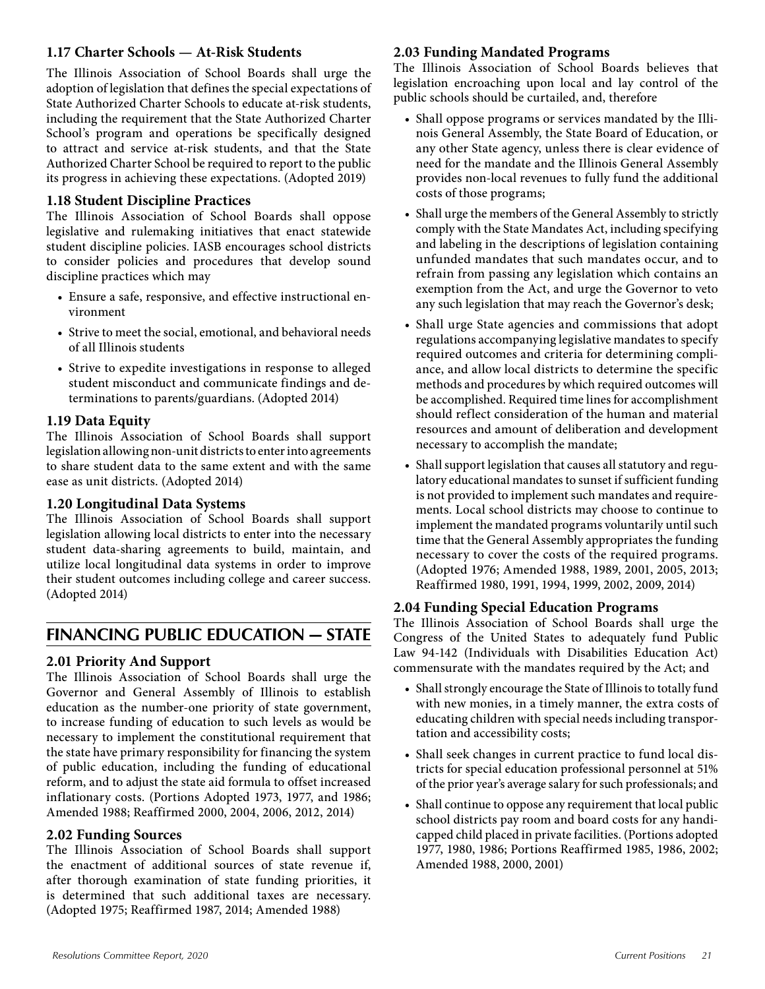#### **1.17 Charter Schools — At-Risk Students**

The Illinois Association of School Boards shall urge the adoption of legislation that defines the special expectations of State Authorized Charter Schools to educate at-risk students, including the requirement that the State Authorized Charter School's program and operations be specifically designed to attract and service at-risk students, and that the State Authorized Charter School be required to report to the public its progress in achieving these expectations. (Adopted 2019)

#### **1.18 Student Discipline Practices**

The Illinois Association of School Boards shall oppose legislative and rulemaking initiatives that enact statewide student discipline policies. IASB encourages school districts to consider policies and procedures that develop sound discipline practices which may

- Ensure a safe, responsive, and effective instructional environment
- Strive to meet the social, emotional, and behavioral needs of all Illinois students
- Strive to expedite investigations in response to alleged student misconduct and communicate findings and determinations to parents/guardians. (Adopted 2014)

#### **1.19 Data Equity**

The Illinois Association of School Boards shall support legislation allowing non-unit districts to enter into agreements to share student data to the same extent and with the same ease as unit districts. (Adopted 2014)

#### **1.20 Longitudinal Data Systems**

The Illinois Association of School Boards shall support legislation allowing local districts to enter into the necessary student data-sharing agreements to build, maintain, and utilize local longitudinal data systems in order to improve their student outcomes including college and career success. (Adopted 2014)

### **FINANCING PUBLIC EDUCATION — STATE**

#### **2.01 Priority And Support**

The Illinois Association of School Boards shall urge the Governor and General Assembly of Illinois to establish education as the number-one priority of state government, to increase funding of education to such levels as would be necessary to implement the constitutional requirement that the state have primary responsibility for financing the system of public education, including the funding of educational reform, and to adjust the state aid formula to offset increased inflationary costs. (Portions Adopted 1973, 1977, and 1986; Amended 1988; Reaffirmed 2000, 2004, 2006, 2012, 2014)

#### **2.02 Funding Sources**

The Illinois Association of School Boards shall support the enactment of additional sources of state revenue if, after thorough examination of state funding priorities, it is determined that such additional taxes are necessary. (Adopted 1975; Reaffirmed 1987, 2014; Amended 1988)

#### **2.03 Funding Mandated Programs**

The Illinois Association of School Boards believes that legislation encroaching upon local and lay control of the public schools should be curtailed, and, therefore

- Shall oppose programs or services mandated by the Illinois General Assembly, the State Board of Education, or any other State agency, unless there is clear evidence of need for the mandate and the Illinois General Assembly provides non-local revenues to fully fund the additional costs of those programs;
- Shall urge the members of the General Assembly to strictly comply with the State Mandates Act, including specifying and labeling in the descriptions of legislation containing unfunded mandates that such mandates occur, and to refrain from passing any legislation which contains an exemption from the Act, and urge the Governor to veto any such legislation that may reach the Governor's desk;
- Shall urge State agencies and commissions that adopt regulations accompanying legislative mandates to specify required outcomes and criteria for determining compliance, and allow local districts to determine the specific methods and procedures by which required outcomes will be accomplished. Required time lines for accomplishment should reflect consideration of the human and material resources and amount of deliberation and development necessary to accomplish the mandate;
- Shall support legislation that causes all statutory and regulatory educational mandates to sunset if sufficient funding is not provided to implement such mandates and requirements. Local school districts may choose to continue to implement the mandated programs voluntarily until such time that the General Assembly appropriates the funding necessary to cover the costs of the required programs. (Adopted 1976; Amended 1988, 1989, 2001, 2005, 2013; Reaffirmed 1980, 1991, 1994, 1999, 2002, 2009, 2014)

#### **2.04 Funding Special Education Programs**

The Illinois Association of School Boards shall urge the Congress of the United States to adequately fund Public Law 94-142 (Individuals with Disabilities Education Act) commensurate with the mandates required by the Act; and

- Shall strongly encourage the State of Illinois to totally fund with new monies, in a timely manner, the extra costs of educating children with special needs including transportation and accessibility costs;
- Shall seek changes in current practice to fund local districts for special education professional personnel at 51% of the prior year's average salary for such professionals; and
- Shall continue to oppose any requirement that local public school districts pay room and board costs for any handicapped child placed in private facilities. (Portions adopted 1977, 1980, 1986; Portions Reaffirmed 1985, 1986, 2002; Amended 1988, 2000, 2001)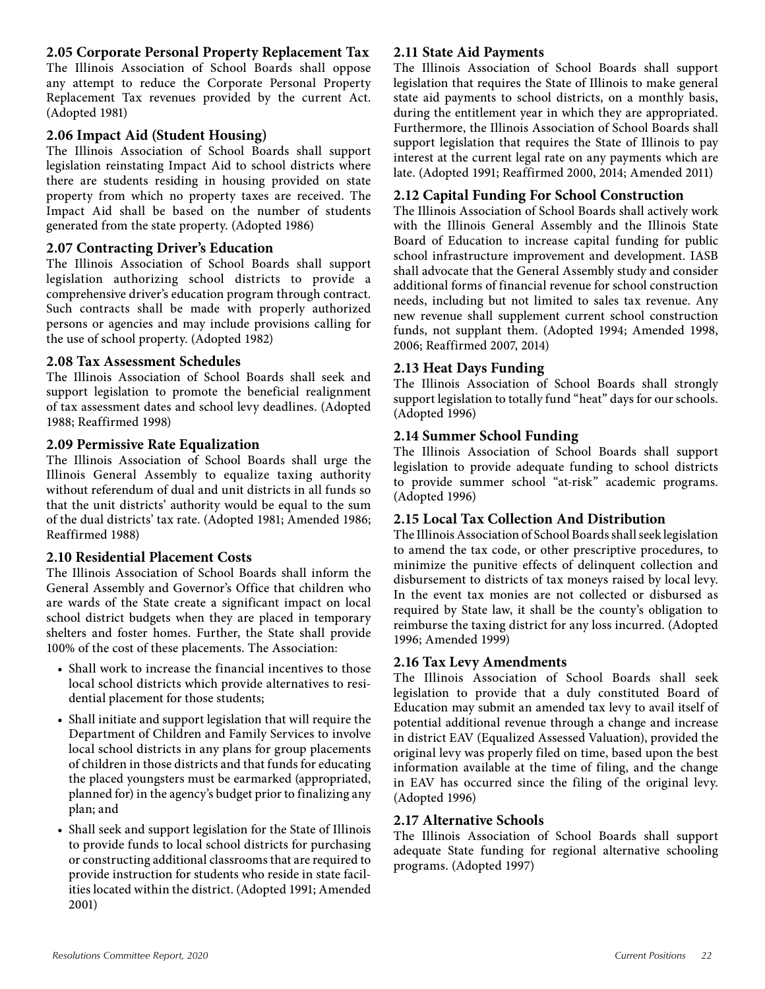#### **2.05 Corporate Personal Property Replacement Tax**

The Illinois Association of School Boards shall oppose any attempt to reduce the Corporate Personal Property Replacement Tax revenues provided by the current Act. (Adopted 1981)

#### **2.06 Impact Aid (Student Housing)**

The Illinois Association of School Boards shall support legislation reinstating Impact Aid to school districts where there are students residing in housing provided on state property from which no property taxes are received. The Impact Aid shall be based on the number of students generated from the state property. (Adopted 1986)

#### **2.07 Contracting Driver's Education**

The Illinois Association of School Boards shall support legislation authorizing school districts to provide a comprehensive driver's education program through contract. Such contracts shall be made with properly authorized persons or agencies and may include provisions calling for the use of school property. (Adopted 1982)

#### **2.08 Tax Assessment Schedules**

The Illinois Association of School Boards shall seek and support legislation to promote the beneficial realignment of tax assessment dates and school levy deadlines. (Adopted 1988; Reaffirmed 1998)

#### **2.09 Permissive Rate Equalization**

The Illinois Association of School Boards shall urge the Illinois General Assembly to equalize taxing authority without referendum of dual and unit districts in all funds so that the unit districts' authority would be equal to the sum of the dual districts' tax rate. (Adopted 1981; Amended 1986; Reaffirmed 1988)

#### **2.10 Residential Placement Costs**

The Illinois Association of School Boards shall inform the General Assembly and Governor's Office that children who are wards of the State create a significant impact on local school district budgets when they are placed in temporary shelters and foster homes. Further, the State shall provide 100% of the cost of these placements. The Association:

- Shall work to increase the financial incentives to those local school districts which provide alternatives to residential placement for those students;
- Shall initiate and support legislation that will require the Department of Children and Family Services to involve local school districts in any plans for group placements of children in those districts and that funds for educating the placed youngsters must be earmarked (appropriated, planned for) in the agency's budget prior to finalizing any plan; and
- Shall seek and support legislation for the State of Illinois to provide funds to local school districts for purchasing or constructing additional classrooms that are required to provide instruction for students who reside in state facilities located within the district. (Adopted 1991; Amended 2001)

#### **2.11 State Aid Payments**

The Illinois Association of School Boards shall support legislation that requires the State of Illinois to make general state aid payments to school districts, on a monthly basis, during the entitlement year in which they are appropriated. Furthermore, the Illinois Association of School Boards shall support legislation that requires the State of Illinois to pay interest at the current legal rate on any payments which are late. (Adopted 1991; Reaffirmed 2000, 2014; Amended 2011)

#### **2.12 Capital Funding For School Construction**

The Illinois Association of School Boards shall actively work with the Illinois General Assembly and the Illinois State Board of Education to increase capital funding for public school infrastructure improvement and development. IASB shall advocate that the General Assembly study and consider additional forms of financial revenue for school construction needs, including but not limited to sales tax revenue. Any new revenue shall supplement current school construction funds, not supplant them. (Adopted 1994; Amended 1998, 2006; Reaffirmed 2007, 2014)

#### **2.13 Heat Days Funding**

The Illinois Association of School Boards shall strongly support legislation to totally fund "heat" days for our schools. (Adopted 1996)

#### **2.14 Summer School Funding**

The Illinois Association of School Boards shall support legislation to provide adequate funding to school districts to provide summer school "at-risk" academic programs. (Adopted 1996)

#### **2.15 Local Tax Collection And Distribution**

The Illinois Association of School Boards shall seek legislation to amend the tax code, or other prescriptive procedures, to minimize the punitive effects of delinquent collection and disbursement to districts of tax moneys raised by local levy. In the event tax monies are not collected or disbursed as required by State law, it shall be the county's obligation to reimburse the taxing district for any loss incurred. (Adopted 1996; Amended 1999)

#### **2.16 Tax Levy Amendments**

The Illinois Association of School Boards shall seek legislation to provide that a duly constituted Board of Education may submit an amended tax levy to avail itself of potential additional revenue through a change and increase in district EAV (Equalized Assessed Valuation), provided the original levy was properly filed on time, based upon the best information available at the time of filing, and the change in EAV has occurred since the filing of the original levy. (Adopted 1996)

#### **2.17 Alternative Schools**

The Illinois Association of School Boards shall support adequate State funding for regional alternative schooling programs. (Adopted 1997)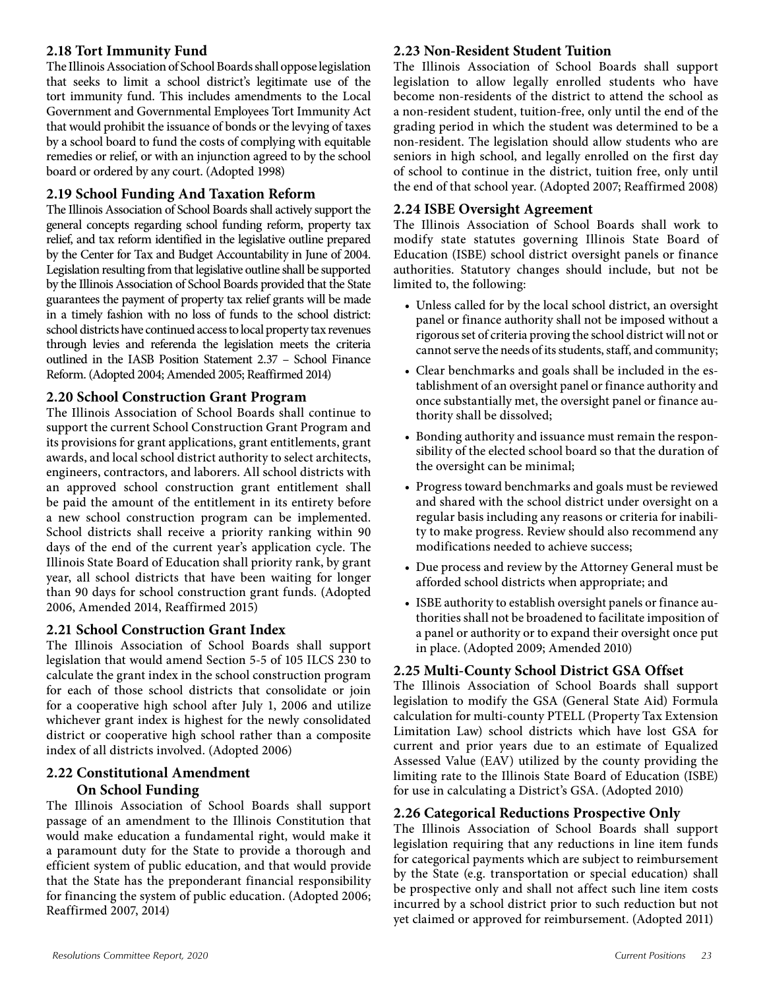#### **2.18 Tort Immunity Fund**

The Illinois Association of School Boards shall oppose legislation that seeks to limit a school district's legitimate use of the tort immunity fund. This includes amendments to the Local Government and Governmental Employees Tort Immunity Act that would prohibit the issuance of bonds or the levying of taxes by a school board to fund the costs of complying with equitable remedies or relief, or with an injunction agreed to by the school board or ordered by any court. (Adopted 1998)

#### **2.19 School Funding And Taxation Reform**

The Illinois Association of School Boards shall actively support the general concepts regarding school funding reform, property tax relief, and tax reform identified in the legislative outline prepared by the Center for Tax and Budget Accountability in June of 2004. Legislation resulting from that legislative outline shall be supported by the Illinois Association of School Boards provided that the State guarantees the payment of property tax relief grants will be made in a timely fashion with no loss of funds to the school district: school districts have continued access to local property tax revenues through levies and referenda the legislation meets the criteria outlined in the IASB Position Statement 2.37 – School Finance Reform. (Adopted 2004; Amended 2005; Reaffirmed 2014)

#### **2.20 School Construction Grant Program**

The Illinois Association of School Boards shall continue to support the current School Construction Grant Program and its provisions for grant applications, grant entitlements, grant awards, and local school district authority to select architects, engineers, contractors, and laborers. All school districts with an approved school construction grant entitlement shall be paid the amount of the entitlement in its entirety before a new school construction program can be implemented. School districts shall receive a priority ranking within 90 days of the end of the current year's application cycle. The Illinois State Board of Education shall priority rank, by grant year, all school districts that have been waiting for longer than 90 days for school construction grant funds. (Adopted 2006, Amended 2014, Reaffirmed 2015)

#### **2.21 School Construction Grant Index**

The Illinois Association of School Boards shall support legislation that would amend Section 5-5 of 105 ILCS 230 to calculate the grant index in the school construction program for each of those school districts that consolidate or join for a cooperative high school after July 1, 2006 and utilize whichever grant index is highest for the newly consolidated district or cooperative high school rather than a composite index of all districts involved. (Adopted 2006)

#### **2.22 Constitutional Amendment On School Funding**

The Illinois Association of School Boards shall support passage of an amendment to the Illinois Constitution that would make education a fundamental right, would make it a paramount duty for the State to provide a thorough and efficient system of public education, and that would provide that the State has the preponderant financial responsibility for financing the system of public education. (Adopted 2006; Reaffirmed 2007, 2014)

#### **2.23 Non-Resident Student Tuition**

The Illinois Association of School Boards shall support legislation to allow legally enrolled students who have become non-residents of the district to attend the school as a non-resident student, tuition-free, only until the end of the grading period in which the student was determined to be a non-resident. The legislation should allow students who are seniors in high school, and legally enrolled on the first day of school to continue in the district, tuition free, only until the end of that school year. (Adopted 2007; Reaffirmed 2008)

#### **2.24 ISBE Oversight Agreement**

The Illinois Association of School Boards shall work to modify state statutes governing Illinois State Board of Education (ISBE) school district oversight panels or finance authorities. Statutory changes should include, but not be limited to, the following:

- Unless called for by the local school district, an oversight panel or finance authority shall not be imposed without a rigorous set of criteria proving the school district will not or cannot serve the needs of its students, staff, and community;
- Clear benchmarks and goals shall be included in the establishment of an oversight panel or finance authority and once substantially met, the oversight panel or finance authority shall be dissolved;
- Bonding authority and issuance must remain the responsibility of the elected school board so that the duration of the oversight can be minimal;
- Progress toward benchmarks and goals must be reviewed and shared with the school district under oversight on a regular basis including any reasons or criteria for inability to make progress. Review should also recommend any modifications needed to achieve success;
- Due process and review by the Attorney General must be afforded school districts when appropriate; and
- ISBE authority to establish oversight panels or finance authorities shall not be broadened to facilitate imposition of a panel or authority or to expand their oversight once put in place. (Adopted 2009; Amended 2010)

#### **2.25 Multi-County School District GSA Offset**

The Illinois Association of School Boards shall support legislation to modify the GSA (General State Aid) Formula calculation for multi-county PTELL (Property Tax Extension Limitation Law) school districts which have lost GSA for current and prior years due to an estimate of Equalized Assessed Value (EAV) utilized by the county providing the limiting rate to the Illinois State Board of Education (ISBE) for use in calculating a District's GSA. (Adopted 2010)

#### **2.26 Categorical Reductions Prospective Only**

The Illinois Association of School Boards shall support legislation requiring that any reductions in line item funds for categorical payments which are subject to reimbursement by the State (e.g. transportation or special education) shall be prospective only and shall not affect such line item costs incurred by a school district prior to such reduction but not yet claimed or approved for reimbursement. (Adopted 2011)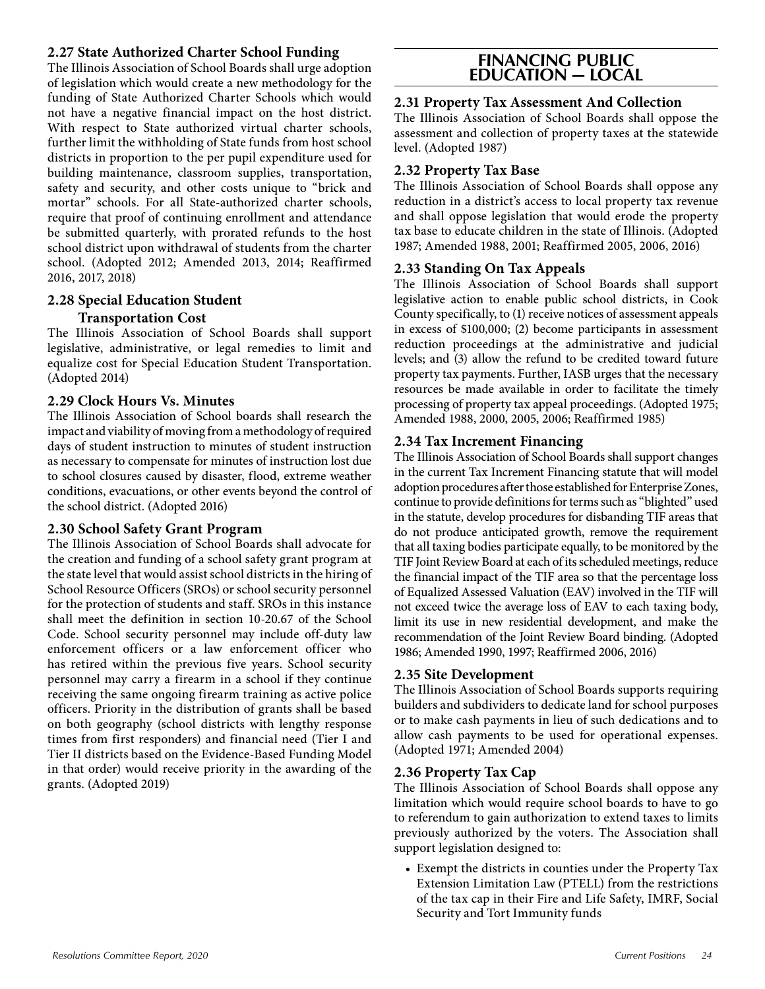#### **2.27 State Authorized Charter School Funding**

The Illinois Association of School Boards shall urge adoption of legislation which would create a new methodology for the funding of State Authorized Charter Schools which would not have a negative financial impact on the host district. With respect to State authorized virtual charter schools, further limit the withholding of State funds from host school districts in proportion to the per pupil expenditure used for building maintenance, classroom supplies, transportation, safety and security, and other costs unique to "brick and mortar" schools. For all State-authorized charter schools, require that proof of continuing enrollment and attendance be submitted quarterly, with prorated refunds to the host school district upon withdrawal of students from the charter school. (Adopted 2012; Amended 2013, 2014; Reaffirmed 2016, 2017, 2018)

#### **2.28 Special Education Student Transportation Cost**

The Illinois Association of School Boards shall support legislative, administrative, or legal remedies to limit and equalize cost for Special Education Student Transportation. (Adopted 2014)

#### **2.29 Clock Hours Vs. Minutes**

The Illinois Association of School boards shall research the impact and viability of moving from a methodology of required days of student instruction to minutes of student instruction as necessary to compensate for minutes of instruction lost due to school closures caused by disaster, flood, extreme weather conditions, evacuations, or other events beyond the control of the school district. (Adopted 2016)

#### **2.30 School Safety Grant Program**

The Illinois Association of School Boards shall advocate for the creation and funding of a school safety grant program at the state level that would assist school districts in the hiring of School Resource Officers (SROs) or school security personnel for the protection of students and staff. SROs in this instance shall meet the definition in section 10-20.67 of the School Code. School security personnel may include off-duty law enforcement officers or a law enforcement officer who has retired within the previous five years. School security personnel may carry a firearm in a school if they continue receiving the same ongoing firearm training as active police officers. Priority in the distribution of grants shall be based on both geography (school districts with lengthy response times from first responders) and financial need (Tier I and Tier II districts based on the Evidence-Based Funding Model in that order) would receive priority in the awarding of the grants. (Adopted 2019)

#### **FINANCING PUBLIC EDUCATION — LOCAL**

#### **2.31 Property Tax Assessment And Collection**

The Illinois Association of School Boards shall oppose the assessment and collection of property taxes at the statewide level. (Adopted 1987)

#### **2.32 Property Tax Base**

The Illinois Association of School Boards shall oppose any reduction in a district's access to local property tax revenue and shall oppose legislation that would erode the property tax base to educate children in the state of Illinois. (Adopted 1987; Amended 1988, 2001; Reaffirmed 2005, 2006, 2016)

#### **2.33 Standing On Tax Appeals**

The Illinois Association of School Boards shall support legislative action to enable public school districts, in Cook County specifically, to (1) receive notices of assessment appeals in excess of \$100,000; (2) become participants in assessment reduction proceedings at the administrative and judicial levels; and (3) allow the refund to be credited toward future property tax payments. Further, IASB urges that the necessary resources be made available in order to facilitate the timely processing of property tax appeal proceedings. (Adopted 1975; Amended 1988, 2000, 2005, 2006; Reaffirmed 1985)

#### **2.34 Tax Increment Financing**

The Illinois Association of School Boards shall support changes in the current Tax Increment Financing statute that will model adoption procedures after those established for Enterprise Zones, continue to provide definitions for terms such as "blighted" used in the statute, develop procedures for disbanding TIF areas that do not produce anticipated growth, remove the requirement that all taxing bodies participate equally, to be monitored by the TIF Joint Review Board at each of its scheduled meetings, reduce the financial impact of the TIF area so that the percentage loss of Equalized Assessed Valuation (EAV) involved in the TIF will not exceed twice the average loss of EAV to each taxing body, limit its use in new residential development, and make the recommendation of the Joint Review Board binding. (Adopted 1986; Amended 1990, 1997; Reaffirmed 2006, 2016)

#### **2.35 Site Development**

The Illinois Association of School Boards supports requiring builders and subdividers to dedicate land for school purposes or to make cash payments in lieu of such dedications and to allow cash payments to be used for operational expenses. (Adopted 1971; Amended 2004)

#### **2.36 Property Tax Cap**

The Illinois Association of School Boards shall oppose any limitation which would require school boards to have to go to referendum to gain authorization to extend taxes to limits previously authorized by the voters. The Association shall support legislation designed to:

• Exempt the districts in counties under the Property Tax Extension Limitation Law (PTELL) from the restrictions of the tax cap in their Fire and Life Safety, IMRF, Social Security and Tort Immunity funds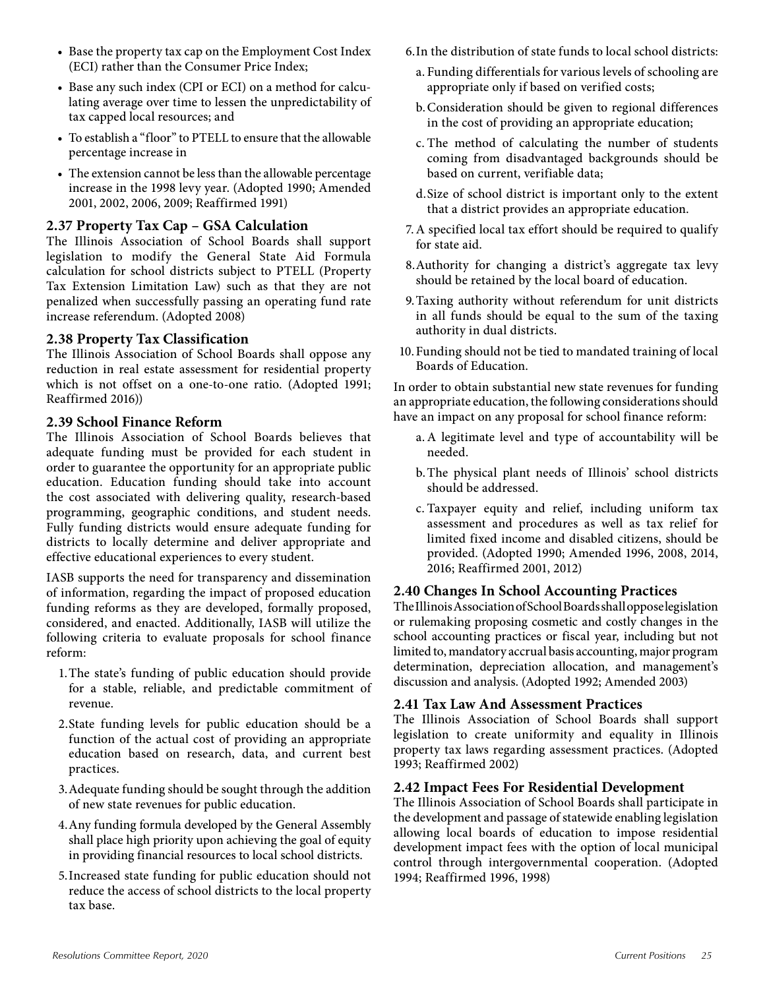- Base the property tax cap on the Employment Cost Index (ECI) rather than the Consumer Price Index;
- Base any such index (CPI or ECI) on a method for calculating average over time to lessen the unpredictability of tax capped local resources; and
- To establish a "floor" to PTELL to ensure that the allowable percentage increase in
- The extension cannot be less than the allowable percentage increase in the 1998 levy year. (Adopted 1990; Amended 2001, 2002, 2006, 2009; Reaffirmed 1991)

#### **2.37 Property Tax Cap – GSA Calculation**

The Illinois Association of School Boards shall support legislation to modify the General State Aid Formula calculation for school districts subject to PTELL (Property Tax Extension Limitation Law) such as that they are not penalized when successfully passing an operating fund rate increase referendum. (Adopted 2008)

#### **2.38 Property Tax Classification**

The Illinois Association of School Boards shall oppose any reduction in real estate assessment for residential property which is not offset on a one-to-one ratio. (Adopted 1991; Reaffirmed 2016))

#### **2.39 School Finance Reform**

The Illinois Association of School Boards believes that adequate funding must be provided for each student in order to guarantee the opportunity for an appropriate public education. Education funding should take into account the cost associated with delivering quality, research-based programming, geographic conditions, and student needs. Fully funding districts would ensure adequate funding for districts to locally determine and deliver appropriate and effective educational experiences to every student.

IASB supports the need for transparency and dissemination of information, regarding the impact of proposed education funding reforms as they are developed, formally proposed, considered, and enacted. Additionally, IASB will utilize the following criteria to evaluate proposals for school finance reform:

- 1.The state's funding of public education should provide for a stable, reliable, and predictable commitment of revenue.
- 2.State funding levels for public education should be a function of the actual cost of providing an appropriate education based on research, data, and current best practices.
- 3.Adequate funding should be sought through the addition of new state revenues for public education.
- 4.Any funding formula developed by the General Assembly shall place high priority upon achieving the goal of equity in providing financial resources to local school districts.
- 5.Increased state funding for public education should not reduce the access of school districts to the local property tax base.
- 6.In the distribution of state funds to local school districts:
	- a. Funding differentials for various levels of schooling are appropriate only if based on verified costs;
	- b.Consideration should be given to regional differences in the cost of providing an appropriate education;
	- c. The method of calculating the number of students coming from disadvantaged backgrounds should be based on current, verifiable data;
	- d.Size of school district is important only to the extent that a district provides an appropriate education.
- 7.A specified local tax effort should be required to qualify for state aid.
- 8.Authority for changing a district's aggregate tax levy should be retained by the local board of education.
- 9.Taxing authority without referendum for unit districts in all funds should be equal to the sum of the taxing authority in dual districts.
- 10.Funding should not be tied to mandated training of local Boards of Education.

In order to obtain substantial new state revenues for funding an appropriate education, the following considerations should have an impact on any proposal for school finance reform:

- a.A legitimate level and type of accountability will be needed.
- b.The physical plant needs of Illinois' school districts should be addressed.
- c. Taxpayer equity and relief, including uniform tax assessment and procedures as well as tax relief for limited fixed income and disabled citizens, should be provided. (Adopted 1990; Amended 1996, 2008, 2014, 2016; Reaffirmed 2001, 2012)

#### **2.40 Changes In School Accounting Practices**

The Illinois Association of School Boards shall oppose legislation or rulemaking proposing cosmetic and costly changes in the school accounting practices or fiscal year, including but not limited to, mandatory accrual basis accounting, major program determination, depreciation allocation, and management's discussion and analysis. (Adopted 1992; Amended 2003)

#### **2.41 Tax Law And Assessment Practices**

The Illinois Association of School Boards shall support legislation to create uniformity and equality in Illinois property tax laws regarding assessment practices. (Adopted 1993; Reaffirmed 2002)

#### **2.42 Impact Fees For Residential Development**

The Illinois Association of School Boards shall participate in the development and passage of statewide enabling legislation allowing local boards of education to impose residential development impact fees with the option of local municipal control through intergovernmental cooperation. (Adopted 1994; Reaffirmed 1996, 1998)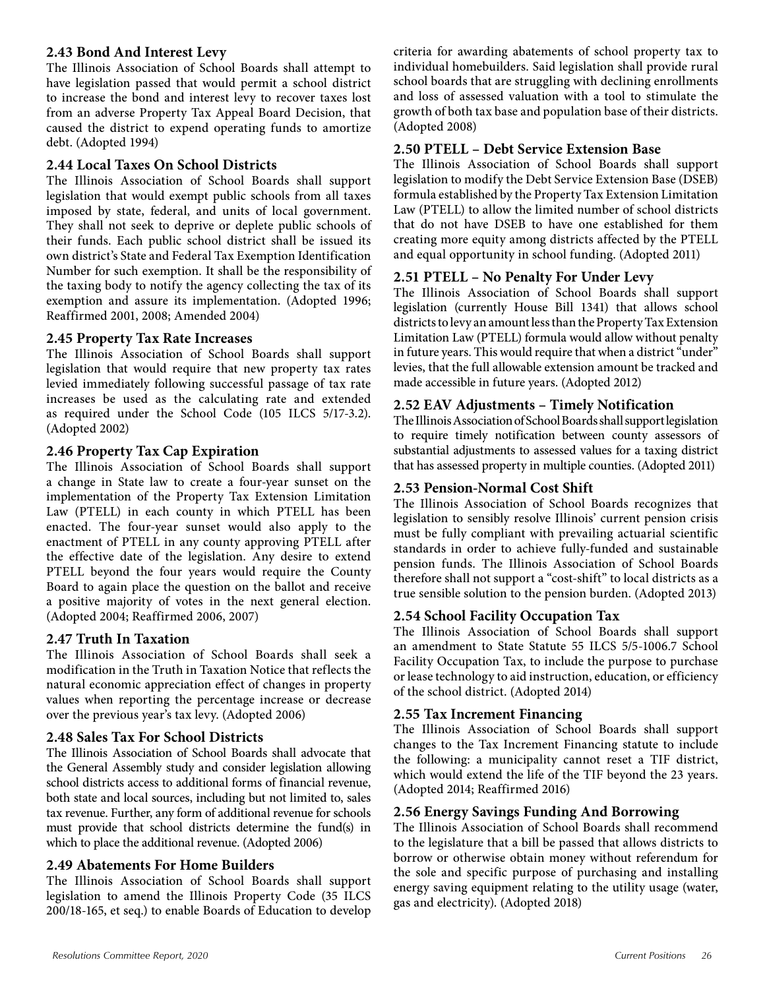#### **2.43 Bond And Interest Levy**

The Illinois Association of School Boards shall attempt to have legislation passed that would permit a school district to increase the bond and interest levy to recover taxes lost from an adverse Property Tax Appeal Board Decision, that caused the district to expend operating funds to amortize debt. (Adopted 1994)

#### **2.44 Local Taxes On School Districts**

The Illinois Association of School Boards shall support legislation that would exempt public schools from all taxes imposed by state, federal, and units of local government. They shall not seek to deprive or deplete public schools of their funds. Each public school district shall be issued its own district's State and Federal Tax Exemption Identification Number for such exemption. It shall be the responsibility of the taxing body to notify the agency collecting the tax of its exemption and assure its implementation. (Adopted 1996; Reaffirmed 2001, 2008; Amended 2004)

#### **2.45 Property Tax Rate Increases**

The Illinois Association of School Boards shall support legislation that would require that new property tax rates levied immediately following successful passage of tax rate increases be used as the calculating rate and extended as required under the School Code (105 ILCS 5/17-3.2). (Adopted 2002)

#### **2.46 Property Tax Cap Expiration**

The Illinois Association of School Boards shall support a change in State law to create a four-year sunset on the implementation of the Property Tax Extension Limitation Law (PTELL) in each county in which PTELL has been enacted. The four-year sunset would also apply to the enactment of PTELL in any county approving PTELL after the effective date of the legislation. Any desire to extend PTELL beyond the four years would require the County Board to again place the question on the ballot and receive a positive majority of votes in the next general election. (Adopted 2004; Reaffirmed 2006, 2007)

#### **2.47 Truth In Taxation**

The Illinois Association of School Boards shall seek a modification in the Truth in Taxation Notice that reflects the natural economic appreciation effect of changes in property values when reporting the percentage increase or decrease over the previous year's tax levy. (Adopted 2006)

#### **2.48 Sales Tax For School Districts**

The Illinois Association of School Boards shall advocate that the General Assembly study and consider legislation allowing school districts access to additional forms of financial revenue, both state and local sources, including but not limited to, sales tax revenue. Further, any form of additional revenue for schools must provide that school districts determine the fund(s) in which to place the additional revenue. (Adopted 2006)

#### **2.49 Abatements For Home Builders**

The Illinois Association of School Boards shall support legislation to amend the Illinois Property Code (35 ILCS 200/18-165, et seq.) to enable Boards of Education to develop

criteria for awarding abatements of school property tax to individual homebuilders. Said legislation shall provide rural school boards that are struggling with declining enrollments and loss of assessed valuation with a tool to stimulate the growth of both tax base and population base of their districts. (Adopted 2008)

#### **2.50 PTELL – Debt Service Extension Base**

The Illinois Association of School Boards shall support legislation to modify the Debt Service Extension Base (DSEB) formula established by the Property Tax Extension Limitation Law (PTELL) to allow the limited number of school districts that do not have DSEB to have one established for them creating more equity among districts affected by the PTELL and equal opportunity in school funding. (Adopted 2011)

#### **2.51 PTELL – No Penalty For Under Levy**

The Illinois Association of School Boards shall support legislation (currently House Bill 1341) that allows school districts to levy an amount less than the Property Tax Extension Limitation Law (PTELL) formula would allow without penalty in future years. This would require that when a district "under" levies, that the full allowable extension amount be tracked and made accessible in future years. (Adopted 2012)

#### **2.52 EAV Adjustments – Timely Notification**

The Illinois Association of School Boards shall support legislation to require timely notification between county assessors of substantial adjustments to assessed values for a taxing district that has assessed property in multiple counties. (Adopted 2011)

#### **2.53 Pension-Normal Cost Shift**

The Illinois Association of School Boards recognizes that legislation to sensibly resolve Illinois' current pension crisis must be fully compliant with prevailing actuarial scientific standards in order to achieve fully-funded and sustainable pension funds. The Illinois Association of School Boards therefore shall not support a "cost-shift" to local districts as a true sensible solution to the pension burden. (Adopted 2013)

#### **2.54 School Facility Occupation Tax**

The Illinois Association of School Boards shall support an amendment to State Statute 55 ILCS 5/5-1006.7 School Facility Occupation Tax, to include the purpose to purchase or lease technology to aid instruction, education, or efficiency of the school district. (Adopted 2014)

#### **2.55 Tax Increment Financing**

The Illinois Association of School Boards shall support changes to the Tax Increment Financing statute to include the following: a municipality cannot reset a TIF district, which would extend the life of the TIF beyond the 23 years. (Adopted 2014; Reaffirmed 2016)

#### **2.56 Energy Savings Funding And Borrowing**

The Illinois Association of School Boards shall recommend to the legislature that a bill be passed that allows districts to borrow or otherwise obtain money without referendum for the sole and specific purpose of purchasing and installing energy saving equipment relating to the utility usage (water, gas and electricity). (Adopted 2018)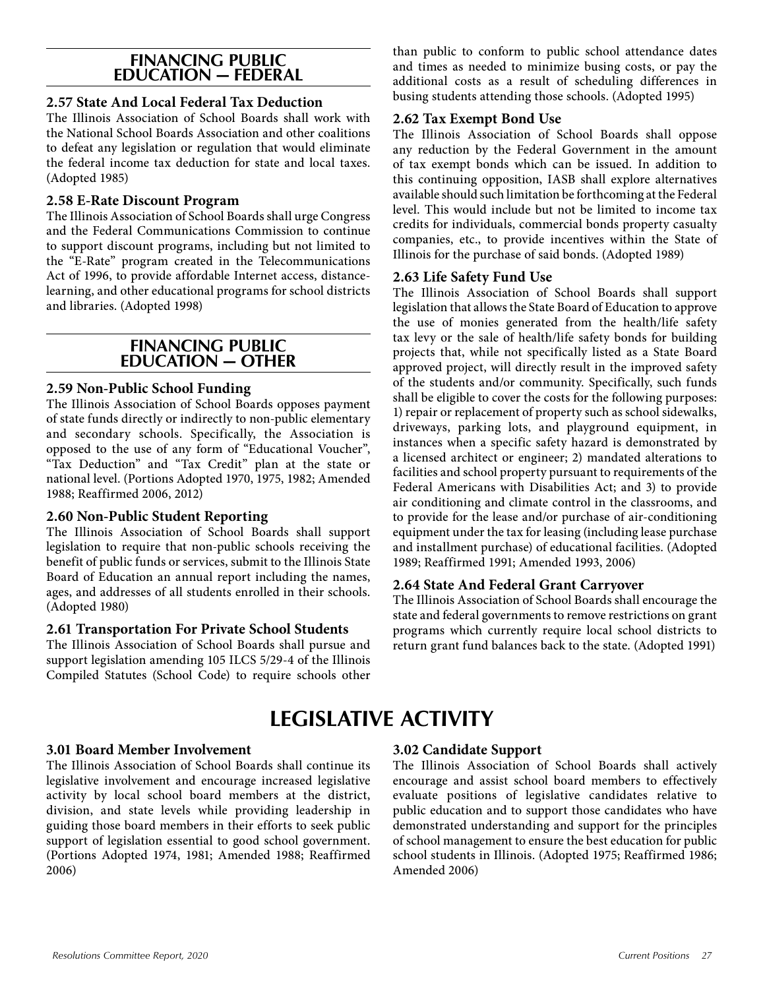#### **FINANCING PUBLIC EDUCATION — FEDERAL**

#### **2.57 State And Local Federal Tax Deduction**

The Illinois Association of School Boards shall work with the National School Boards Association and other coalitions to defeat any legislation or regulation that would eliminate the federal income tax deduction for state and local taxes. (Adopted 1985)

#### **2.58 E-Rate Discount Program**

The Illinois Association of School Boards shall urge Congress and the Federal Communications Commission to continue to support discount programs, including but not limited to the "E-Rate" program created in the Telecommunications Act of 1996, to provide affordable Internet access, distancelearning, and other educational programs for school districts and libraries. (Adopted 1998)

#### **FINANCING PUBLIC EDUCATION — OTHER**

#### **2.59 Non-Public School Funding**

The Illinois Association of School Boards opposes payment of state funds directly or indirectly to non-public elementary and secondary schools. Specifically, the Association is opposed to the use of any form of "Educational Voucher", "Tax Deduction" and "Tax Credit" plan at the state or national level. (Portions Adopted 1970, 1975, 1982; Amended 1988; Reaffirmed 2006, 2012)

#### **2.60 Non-Public Student Reporting**

The Illinois Association of School Boards shall support legislation to require that non-public schools receiving the benefit of public funds or services, submit to the Illinois State Board of Education an annual report including the names, ages, and addresses of all students enrolled in their schools. (Adopted 1980)

#### **2.61 Transportation For Private School Students**

The Illinois Association of School Boards shall pursue and support legislation amending 105 ILCS 5/29-4 of the Illinois Compiled Statutes (School Code) to require schools other than public to conform to public school attendance dates and times as needed to minimize busing costs, or pay the additional costs as a result of scheduling differences in busing students attending those schools. (Adopted 1995)

#### **2.62 Tax Exempt Bond Use**

The Illinois Association of School Boards shall oppose any reduction by the Federal Government in the amount of tax exempt bonds which can be issued. In addition to this continuing opposition, IASB shall explore alternatives available should such limitation be forthcoming at the Federal level. This would include but not be limited to income tax credits for individuals, commercial bonds property casualty companies, etc., to provide incentives within the State of Illinois for the purchase of said bonds. (Adopted 1989)

#### **2.63 Life Safety Fund Use**

The Illinois Association of School Boards shall support legislation that allows the State Board of Education to approve the use of monies generated from the health/life safety tax levy or the sale of health/life safety bonds for building projects that, while not specifically listed as a State Board approved project, will directly result in the improved safety of the students and/or community. Specifically, such funds shall be eligible to cover the costs for the following purposes: 1) repair or replacement of property such as school sidewalks, driveways, parking lots, and playground equipment, in instances when a specific safety hazard is demonstrated by a licensed architect or engineer; 2) mandated alterations to facilities and school property pursuant to requirements of the Federal Americans with Disabilities Act; and 3) to provide air conditioning and climate control in the classrooms, and to provide for the lease and/or purchase of air-conditioning equipment under the tax for leasing (including lease purchase and installment purchase) of educational facilities. (Adopted 1989; Reaffirmed 1991; Amended 1993, 2006)

#### **2.64 State And Federal Grant Carryover**

The Illinois Association of School Boards shall encourage the state and federal governments to remove restrictions on grant programs which currently require local school districts to return grant fund balances back to the state. (Adopted 1991)

## **LEGISLATIVE ACTIVITY**

#### **3.01 Board Member Involvement**

The Illinois Association of School Boards shall continue its legislative involvement and encourage increased legislative activity by local school board members at the district, division, and state levels while providing leadership in guiding those board members in their efforts to seek public support of legislation essential to good school government. (Portions Adopted 1974, 1981; Amended 1988; Reaffirmed 2006)

#### **3.02 Candidate Support**

The Illinois Association of School Boards shall actively encourage and assist school board members to effectively evaluate positions of legislative candidates relative to public education and to support those candidates who have demonstrated understanding and support for the principles of school management to ensure the best education for public school students in Illinois. (Adopted 1975; Reaffirmed 1986; Amended 2006)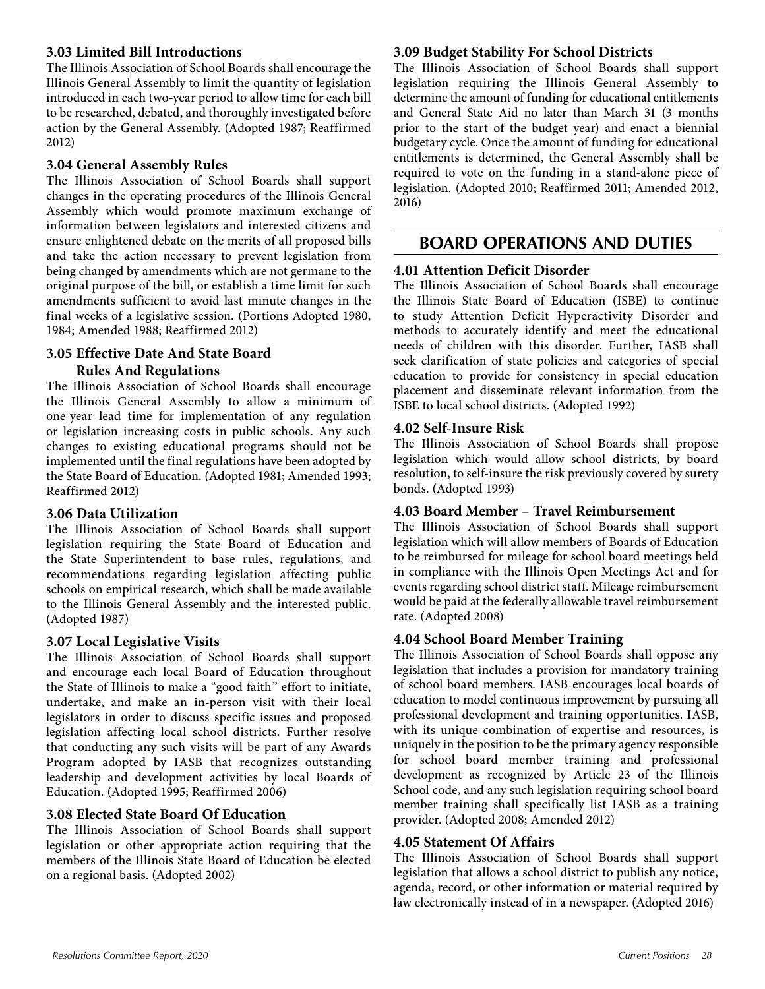#### **3.03 Limited Bill Introductions**

The Illinois Association of School Boards shall encourage the Illinois General Assembly to limit the quantity of legislation introduced in each two-year period to allow time for each bill to be researched, debated, and thoroughly investigated before action by the General Assembly. (Adopted 1987; Reaffirmed 2012)

#### **3.04 General Assembly Rules**

The Illinois Association of School Boards shall support changes in the operating procedures of the Illinois General Assembly which would promote maximum exchange of information between legislators and interested citizens and ensure enlightened debate on the merits of all proposed bills and take the action necessary to prevent legislation from being changed by amendments which are not germane to the original purpose of the bill, or establish a time limit for such amendments sufficient to avoid last minute changes in the final weeks of a legislative session. (Portions Adopted 1980, 1984; Amended 1988; Reaffirmed 2012)

#### **3.05 Effective Date And State Board**

#### **Rules And Regulations**

The Illinois Association of School Boards shall encourage the Illinois General Assembly to allow a minimum of one-year lead time for implementation of any regulation or legislation increasing costs in public schools. Any such changes to existing educational programs should not be implemented until the final regulations have been adopted by the State Board of Education. (Adopted 1981; Amended 1993; Reaffirmed 2012)

#### **3.06 Data Utilization**

The Illinois Association of School Boards shall support legislation requiring the State Board of Education and the State Superintendent to base rules, regulations, and recommendations regarding legislation affecting public schools on empirical research, which shall be made available to the Illinois General Assembly and the interested public. (Adopted 1987)

#### **3.07 Local Legislative Visits**

The Illinois Association of School Boards shall support and encourage each local Board of Education throughout the State of Illinois to make a "good faith" effort to initiate, undertake, and make an in-person visit with their local legislators in order to discuss specific issues and proposed legislation affecting local school districts. Further resolve that conducting any such visits will be part of any Awards Program adopted by IASB that recognizes outstanding leadership and development activities by local Boards of Education. (Adopted 1995; Reaffirmed 2006)

#### **3.08 Elected State Board Of Education**

The Illinois Association of School Boards shall support legislation or other appropriate action requiring that the members of the Illinois State Board of Education be elected on a regional basis. (Adopted 2002)

#### **3.09 Budget Stability For School Districts**

The Illinois Association of School Boards shall support legislation requiring the Illinois General Assembly to determine the amount of funding for educational entitlements and General State Aid no later than March 31 (3 months prior to the start of the budget year) and enact a biennial budgetary cycle. Once the amount of funding for educational entitlements is determined, the General Assembly shall be required to vote on the funding in a stand-alone piece of legislation. (Adopted 2010; Reaffirmed 2011; Amended 2012, 2016)

#### **BOARD OPERATIONS AND DUTIES**

#### **4.01 Attention Deficit Disorder**

The Illinois Association of School Boards shall encourage the Illinois State Board of Education (ISBE) to continue to study Attention Deficit Hyperactivity Disorder and methods to accurately identify and meet the educational needs of children with this disorder. Further, IASB shall seek clarification of state policies and categories of special education to provide for consistency in special education placement and disseminate relevant information from the ISBE to local school districts. (Adopted 1992)

#### **4.02 Self-Insure Risk**

The Illinois Association of School Boards shall propose legislation which would allow school districts, by board resolution, to self-insure the risk previously covered by surety bonds. (Adopted 1993)

#### **4.03 Board Member – Travel Reimbursement**

The Illinois Association of School Boards shall support legislation which will allow members of Boards of Education to be reimbursed for mileage for school board meetings held in compliance with the Illinois Open Meetings Act and for events regarding school district staff. Mileage reimbursement would be paid at the federally allowable travel reimbursement rate. (Adopted 2008)

#### **4.04 School Board Member Training**

The Illinois Association of School Boards shall oppose any legislation that includes a provision for mandatory training of school board members. IASB encourages local boards of education to model continuous improvement by pursuing all professional development and training opportunities. IASB, with its unique combination of expertise and resources, is uniquely in the position to be the primary agency responsible for school board member training and professional development as recognized by Article 23 of the Illinois School code, and any such legislation requiring school board member training shall specifically list IASB as a training provider. (Adopted 2008; Amended 2012)

#### **4.05 Statement Of Affairs**

The Illinois Association of School Boards shall support legislation that allows a school district to publish any notice, agenda, record, or other information or material required by law electronically instead of in a newspaper. (Adopted 2016)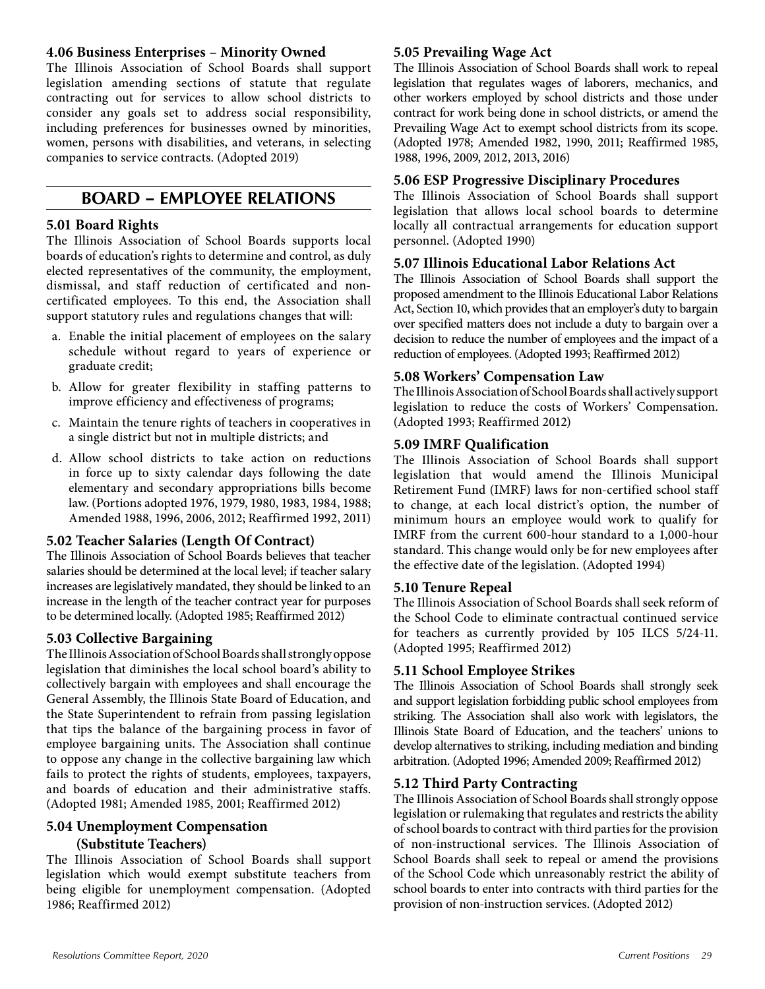#### **4.06 Business Enterprises – Minority Owned**

The Illinois Association of School Boards shall support legislation amending sections of statute that regulate contracting out for services to allow school districts to consider any goals set to address social responsibility, including preferences for businesses owned by minorities, women, persons with disabilities, and veterans, in selecting companies to service contracts. (Adopted 2019)

### **BOARD – EMPLOYEE RELATIONS**

#### **5.01 Board Rights**

The Illinois Association of School Boards supports local boards of education's rights to determine and control, as duly elected representatives of the community, the employment, dismissal, and staff reduction of certificated and noncertificated employees. To this end, the Association shall support statutory rules and regulations changes that will:

- a. Enable the initial placement of employees on the salary schedule without regard to years of experience or graduate credit;
- b. Allow for greater flexibility in staffing patterns to improve efficiency and effectiveness of programs;
- c. Maintain the tenure rights of teachers in cooperatives in a single district but not in multiple districts; and
- d. Allow school districts to take action on reductions in force up to sixty calendar days following the date elementary and secondary appropriations bills become law. (Portions adopted 1976, 1979, 1980, 1983, 1984, 1988; Amended 1988, 1996, 2006, 2012; Reaffirmed 1992, 2011)

#### **5.02 Teacher Salaries (Length Of Contract)**

The Illinois Association of School Boards believes that teacher salaries should be determined at the local level; if teacher salary increases are legislatively mandated, they should be linked to an increase in the length of the teacher contract year for purposes to be determined locally. (Adopted 1985; Reaffirmed 2012)

#### **5.03 Collective Bargaining**

The Illinois Association of School Boards shall strongly oppose legislation that diminishes the local school board's ability to collectively bargain with employees and shall encourage the General Assembly, the Illinois State Board of Education, and the State Superintendent to refrain from passing legislation that tips the balance of the bargaining process in favor of employee bargaining units. The Association shall continue to oppose any change in the collective bargaining law which fails to protect the rights of students, employees, taxpayers, and boards of education and their administrative staffs. (Adopted 1981; Amended 1985, 2001; Reaffirmed 2012)

#### **5.04 Unemployment Compensation (Substitute Teachers)**

The Illinois Association of School Boards shall support legislation which would exempt substitute teachers from being eligible for unemployment compensation. (Adopted 1986; Reaffirmed 2012)

#### **5.05 Prevailing Wage Act**

The Illinois Association of School Boards shall work to repeal legislation that regulates wages of laborers, mechanics, and other workers employed by school districts and those under contract for work being done in school districts, or amend the Prevailing Wage Act to exempt school districts from its scope. (Adopted 1978; Amended 1982, 1990, 2011; Reaffirmed 1985, 1988, 1996, 2009, 2012, 2013, 2016)

#### **5.06 ESP Progressive Disciplinary Procedures**

The Illinois Association of School Boards shall support legislation that allows local school boards to determine locally all contractual arrangements for education support personnel. (Adopted 1990)

#### **5.07 Illinois Educational Labor Relations Act**

The Illinois Association of School Boards shall support the proposed amendment to the Illinois Educational Labor Relations Act, Section 10, which provides that an employer's duty to bargain over specified matters does not include a duty to bargain over a decision to reduce the number of employees and the impact of a reduction of employees. (Adopted 1993; Reaffirmed 2012)

#### **5.08 Workers' Compensation Law**

The Illinois Association of School Boards shall actively support legislation to reduce the costs of Workers' Compensation. (Adopted 1993; Reaffirmed 2012)

#### **5.09 IMRF Qualification**

The Illinois Association of School Boards shall support legislation that would amend the Illinois Municipal Retirement Fund (IMRF) laws for non-certified school staff to change, at each local district's option, the number of minimum hours an employee would work to qualify for IMRF from the current 600-hour standard to a 1,000-hour standard. This change would only be for new employees after the effective date of the legislation. (Adopted 1994)

#### **5.10 Tenure Repeal**

The Illinois Association of School Boards shall seek reform of the School Code to eliminate contractual continued service for teachers as currently provided by 105 ILCS 5/24-11. (Adopted 1995; Reaffirmed 2012)

#### **5.11 School Employee Strikes**

The Illinois Association of School Boards shall strongly seek and support legislation forbidding public school employees from striking. The Association shall also work with legislators, the Illinois State Board of Education, and the teachers' unions to develop alternatives to striking, including mediation and binding arbitration. (Adopted 1996; Amended 2009; Reaffirmed 2012)

#### **5.12 Third Party Contracting**

The Illinois Association of School Boards shall strongly oppose legislation or rulemaking that regulates and restricts the ability of school boards to contract with third parties for the provision of non-instructional services. The Illinois Association of School Boards shall seek to repeal or amend the provisions of the School Code which unreasonably restrict the ability of school boards to enter into contracts with third parties for the provision of non-instruction services. (Adopted 2012)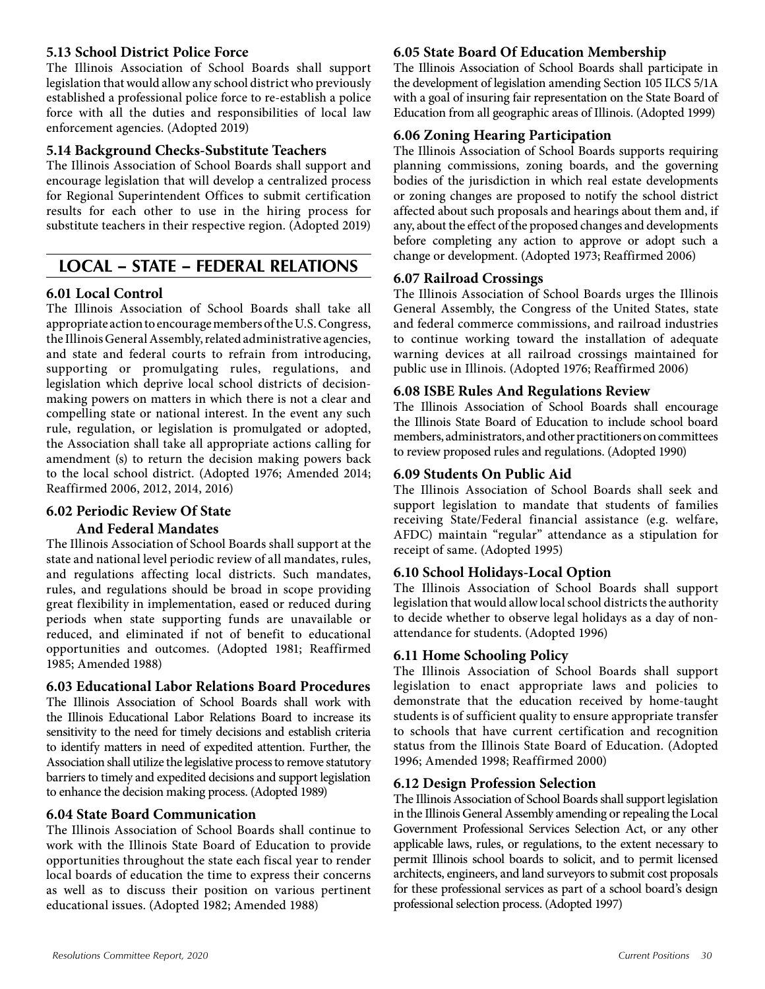#### **5.13 School District Police Force**

The Illinois Association of School Boards shall support legislation that would allow any school district who previously established a professional police force to re-establish a police force with all the duties and responsibilities of local law enforcement agencies. (Adopted 2019)

#### **5.14 Background Checks-Substitute Teachers**

The Illinois Association of School Boards shall support and encourage legislation that will develop a centralized process for Regional Superintendent Offices to submit certification results for each other to use in the hiring process for substitute teachers in their respective region. (Adopted 2019)

### **LOCAL – STATE – FEDERAL RELATIONS**

#### **6.01 Local Control**

The Illinois Association of School Boards shall take all appropriate action to encourage members of the U.S. Congress, the Illinois General Assembly, related administrative agencies, and state and federal courts to refrain from introducing, supporting or promulgating rules, regulations, and legislation which deprive local school districts of decisionmaking powers on matters in which there is not a clear and compelling state or national interest. In the event any such rule, regulation, or legislation is promulgated or adopted, the Association shall take all appropriate actions calling for amendment (s) to return the decision making powers back to the local school district. (Adopted 1976; Amended 2014; Reaffirmed 2006, 2012, 2014, 2016)

#### **6.02 Periodic Review Of State**

#### **And Federal Mandates**

The Illinois Association of School Boards shall support at the state and national level periodic review of all mandates, rules, and regulations affecting local districts. Such mandates, rules, and regulations should be broad in scope providing great flexibility in implementation, eased or reduced during periods when state supporting funds are unavailable or reduced, and eliminated if not of benefit to educational opportunities and outcomes. (Adopted 1981; Reaffirmed 1985; Amended 1988)

#### **6.03 Educational Labor Relations Board Procedures**

The Illinois Association of School Boards shall work with the Illinois Educational Labor Relations Board to increase its sensitivity to the need for timely decisions and establish criteria to identify matters in need of expedited attention. Further, the Association shall utilize the legislative process to remove statutory barriers to timely and expedited decisions and support legislation to enhance the decision making process. (Adopted 1989)

#### **6.04 State Board Communication**

The Illinois Association of School Boards shall continue to work with the Illinois State Board of Education to provide opportunities throughout the state each fiscal year to render local boards of education the time to express their concerns as well as to discuss their position on various pertinent educational issues. (Adopted 1982; Amended 1988)

#### **6.05 State Board Of Education Membership**

The Illinois Association of School Boards shall participate in the development of legislation amending Section 105 ILCS 5/1A with a goal of insuring fair representation on the State Board of Education from all geographic areas of Illinois. (Adopted 1999)

#### **6.06 Zoning Hearing Participation**

The Illinois Association of School Boards supports requiring planning commissions, zoning boards, and the governing bodies of the jurisdiction in which real estate developments or zoning changes are proposed to notify the school district affected about such proposals and hearings about them and, if any, about the effect of the proposed changes and developments before completing any action to approve or adopt such a change or development. (Adopted 1973; Reaffirmed 2006)

#### **6.07 Railroad Crossings**

The Illinois Association of School Boards urges the Illinois General Assembly, the Congress of the United States, state and federal commerce commissions, and railroad industries to continue working toward the installation of adequate warning devices at all railroad crossings maintained for public use in Illinois. (Adopted 1976; Reaffirmed 2006)

#### **6.08 ISBE Rules And Regulations Review**

The Illinois Association of School Boards shall encourage the Illinois State Board of Education to include school board members, administrators, and other practitioners on committees to review proposed rules and regulations. (Adopted 1990)

#### **6.09 Students On Public Aid**

The Illinois Association of School Boards shall seek and support legislation to mandate that students of families receiving State/Federal financial assistance (e.g. welfare, AFDC) maintain "regular" attendance as a stipulation for receipt of same. (Adopted 1995)

#### **6.10 School Holidays-Local Option**

The Illinois Association of School Boards shall support legislation that would allow local school districts the authority to decide whether to observe legal holidays as a day of nonattendance for students. (Adopted 1996)

#### **6.11 Home Schooling Policy**

The Illinois Association of School Boards shall support legislation to enact appropriate laws and policies to demonstrate that the education received by home-taught students is of sufficient quality to ensure appropriate transfer to schools that have current certification and recognition status from the Illinois State Board of Education. (Adopted 1996; Amended 1998; Reaffirmed 2000)

#### **6.12 Design Profession Selection**

The Illinois Association of School Boards shall support legislation in the Illinois General Assembly amending or repealing the Local Government Professional Services Selection Act, or any other applicable laws, rules, or regulations, to the extent necessary to permit Illinois school boards to solicit, and to permit licensed architects, engineers, and land surveyors to submit cost proposals for these professional services as part of a school board's design professional selection process. (Adopted 1997)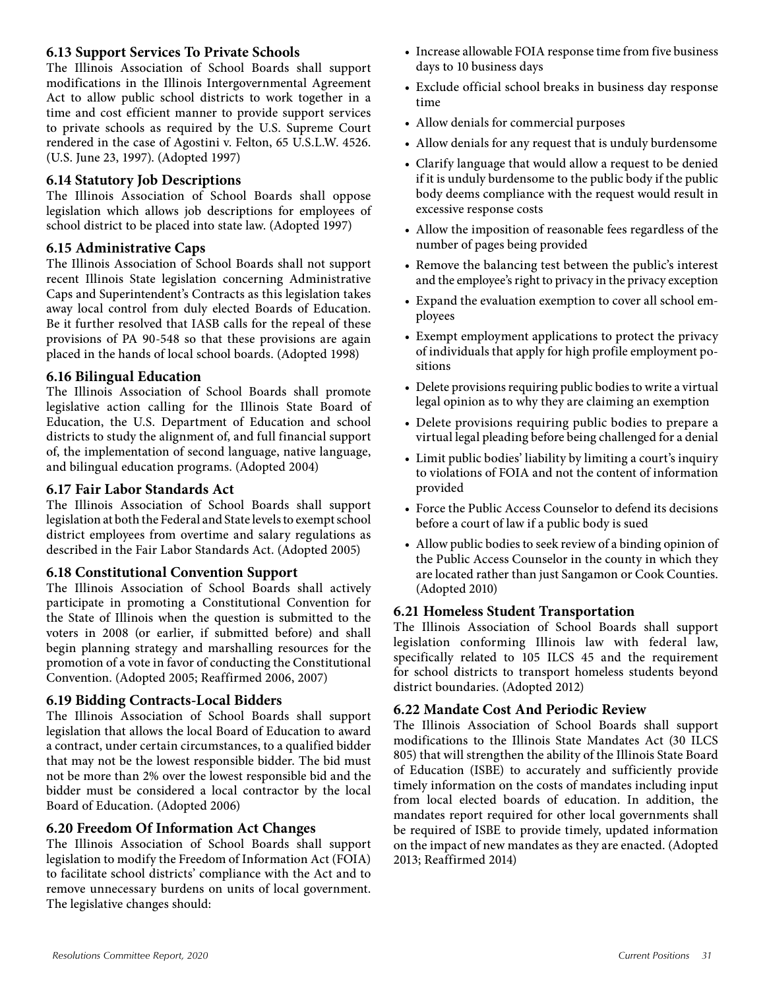#### **6.13 Support Services To Private Schools**

The Illinois Association of School Boards shall support modifications in the Illinois Intergovernmental Agreement Act to allow public school districts to work together in a time and cost efficient manner to provide support services to private schools as required by the U.S. Supreme Court rendered in the case of Agostini v. Felton, 65 U.S.L.W. 4526. (U.S. June 23, 1997). (Adopted 1997)

#### **6.14 Statutory Job Descriptions**

The Illinois Association of School Boards shall oppose legislation which allows job descriptions for employees of school district to be placed into state law. (Adopted 1997)

#### **6.15 Administrative Caps**

The Illinois Association of School Boards shall not support recent Illinois State legislation concerning Administrative Caps and Superintendent's Contracts as this legislation takes away local control from duly elected Boards of Education. Be it further resolved that IASB calls for the repeal of these provisions of PA 90-548 so that these provisions are again placed in the hands of local school boards. (Adopted 1998)

#### **6.16 Bilingual Education**

The Illinois Association of School Boards shall promote legislative action calling for the Illinois State Board of Education, the U.S. Department of Education and school districts to study the alignment of, and full financial support of, the implementation of second language, native language, and bilingual education programs. (Adopted 2004)

#### **6.17 Fair Labor Standards Act**

The Illinois Association of School Boards shall support legislation at both the Federal and State levels to exempt school district employees from overtime and salary regulations as described in the Fair Labor Standards Act. (Adopted 2005)

#### **6.18 Constitutional Convention Support**

The Illinois Association of School Boards shall actively participate in promoting a Constitutional Convention for the State of Illinois when the question is submitted to the voters in 2008 (or earlier, if submitted before) and shall begin planning strategy and marshalling resources for the promotion of a vote in favor of conducting the Constitutional Convention. (Adopted 2005; Reaffirmed 2006, 2007)

#### **6.19 Bidding Contracts-Local Bidders**

The Illinois Association of School Boards shall support legislation that allows the local Board of Education to award a contract, under certain circumstances, to a qualified bidder that may not be the lowest responsible bidder. The bid must not be more than 2% over the lowest responsible bid and the bidder must be considered a local contractor by the local Board of Education. (Adopted 2006)

#### **6.20 Freedom Of Information Act Changes**

The Illinois Association of School Boards shall support legislation to modify the Freedom of Information Act (FOIA) to facilitate school districts' compliance with the Act and to remove unnecessary burdens on units of local government. The legislative changes should:

- Increase allowable FOIA response time from five business days to 10 business days
- Exclude official school breaks in business day response time
- Allow denials for commercial purposes
- Allow denials for any request that is unduly burdensome
- Clarify language that would allow a request to be denied if it is unduly burdensome to the public body if the public body deems compliance with the request would result in excessive response costs
- Allow the imposition of reasonable fees regardless of the number of pages being provided
- Remove the balancing test between the public's interest and the employee's right to privacy in the privacy exception
- Expand the evaluation exemption to cover all school employees
- Exempt employment applications to protect the privacy of individuals that apply for high profile employment positions
- Delete provisions requiring public bodies to write a virtual legal opinion as to why they are claiming an exemption
- Delete provisions requiring public bodies to prepare a virtual legal pleading before being challenged for a denial
- Limit public bodies' liability by limiting a court's inquiry to violations of FOIA and not the content of information provided
- Force the Public Access Counselor to defend its decisions before a court of law if a public body is sued
- Allow public bodies to seek review of a binding opinion of the Public Access Counselor in the county in which they are located rather than just Sangamon or Cook Counties. (Adopted 2010)

#### **6.21 Homeless Student Transportation**

The Illinois Association of School Boards shall support legislation conforming Illinois law with federal law, specifically related to 105 ILCS 45 and the requirement for school districts to transport homeless students beyond district boundaries. (Adopted 2012)

#### **6.22 Mandate Cost And Periodic Review**

The Illinois Association of School Boards shall support modifications to the Illinois State Mandates Act (30 ILCS 805) that will strengthen the ability of the Illinois State Board of Education (ISBE) to accurately and sufficiently provide timely information on the costs of mandates including input from local elected boards of education. In addition, the mandates report required for other local governments shall be required of ISBE to provide timely, updated information on the impact of new mandates as they are enacted. (Adopted 2013; Reaffirmed 2014)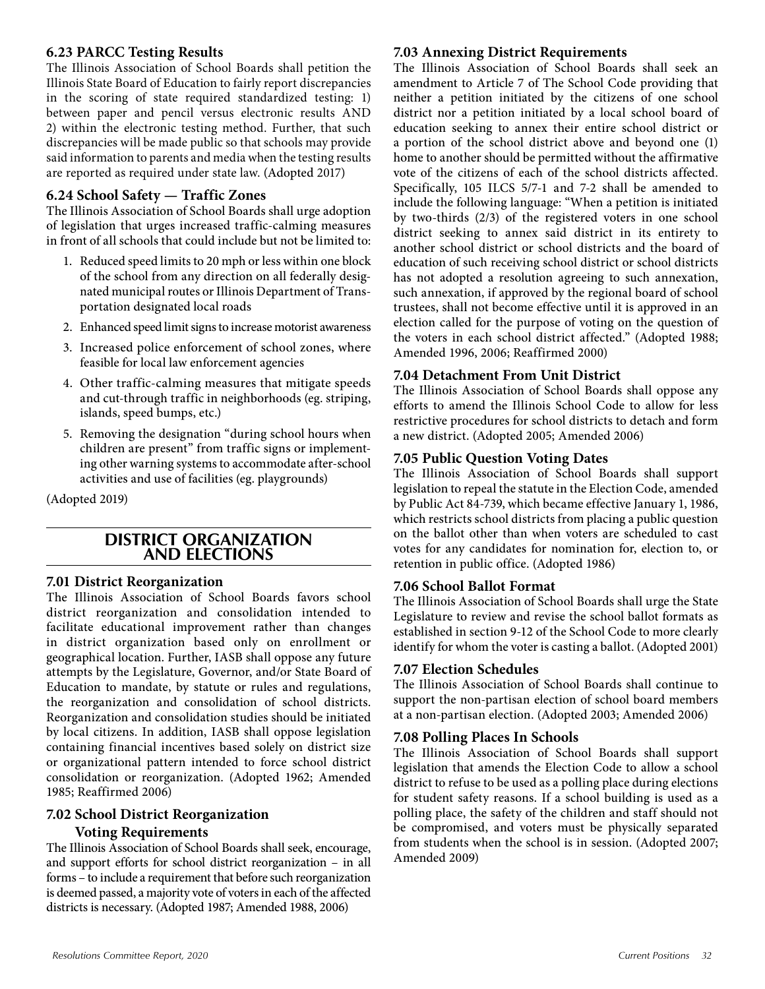#### **6.23 PARCC Testing Results**

The Illinois Association of School Boards shall petition the Illinois State Board of Education to fairly report discrepancies in the scoring of state required standardized testing: 1) between paper and pencil versus electronic results AND 2) within the electronic testing method. Further, that such discrepancies will be made public so that schools may provide said information to parents and media when the testing results are reported as required under state law. (Adopted 2017)

#### **6.24 School Safety — Traffic Zones**

The Illinois Association of School Boards shall urge adoption of legislation that urges increased traffic-calming measures in front of all schools that could include but not be limited to:

- 1. Reduced speed limits to 20 mph or less within one block of the school from any direction on all federally designated municipal routes or Illinois Department of Transportation designated local roads
- 2. Enhanced speed limit signs to increase motorist awareness
- 3. Increased police enforcement of school zones, where feasible for local law enforcement agencies
- 4. Other traffic-calming measures that mitigate speeds and cut-through traffic in neighborhoods (eg. striping, islands, speed bumps, etc.)
- 5. Removing the designation "during school hours when children are present" from traffic signs or implementing other warning systems to accommodate after-school activities and use of facilities (eg. playgrounds)

(Adopted 2019)

#### **DISTRICT ORGANIZATION AND ELECTIONS**

#### **7.01 District Reorganization**

The Illinois Association of School Boards favors school district reorganization and consolidation intended to facilitate educational improvement rather than changes in district organization based only on enrollment or geographical location. Further, IASB shall oppose any future attempts by the Legislature, Governor, and/or State Board of Education to mandate, by statute or rules and regulations, the reorganization and consolidation of school districts. Reorganization and consolidation studies should be initiated by local citizens. In addition, IASB shall oppose legislation containing financial incentives based solely on district size or organizational pattern intended to force school district consolidation or reorganization. (Adopted 1962; Amended 1985; Reaffirmed 2006)

#### **7.02 School District Reorganization**

#### **Voting Requirements**

The Illinois Association of School Boards shall seek, encourage, and support efforts for school district reorganization – in all forms – to include a requirement that before such reorganization is deemed passed, a majority vote of voters in each of the affected districts is necessary. (Adopted 1987; Amended 1988, 2006)

#### **7.03 Annexing District Requirements**

The Illinois Association of School Boards shall seek an amendment to Article 7 of The School Code providing that neither a petition initiated by the citizens of one school district nor a petition initiated by a local school board of education seeking to annex their entire school district or a portion of the school district above and beyond one (1) home to another should be permitted without the affirmative vote of the citizens of each of the school districts affected. Specifically, 105 ILCS 5/7-1 and 7-2 shall be amended to include the following language: "When a petition is initiated by two-thirds (2/3) of the registered voters in one school district seeking to annex said district in its entirety to another school district or school districts and the board of education of such receiving school district or school districts has not adopted a resolution agreeing to such annexation, such annexation, if approved by the regional board of school trustees, shall not become effective until it is approved in an election called for the purpose of voting on the question of the voters in each school district affected." (Adopted 1988; Amended 1996, 2006; Reaffirmed 2000)

#### **7.04 Detachment From Unit District**

The Illinois Association of School Boards shall oppose any efforts to amend the Illinois School Code to allow for less restrictive procedures for school districts to detach and form a new district. (Adopted 2005; Amended 2006)

#### **7.05 Public Question Voting Dates**

The Illinois Association of School Boards shall support legislation to repeal the statute in the Election Code, amended by Public Act 84-739, which became effective January 1, 1986, which restricts school districts from placing a public question on the ballot other than when voters are scheduled to cast votes for any candidates for nomination for, election to, or retention in public office. (Adopted 1986)

#### **7.06 School Ballot Format**

The Illinois Association of School Boards shall urge the State Legislature to review and revise the school ballot formats as established in section 9-12 of the School Code to more clearly identify for whom the voter is casting a ballot. (Adopted 2001)

#### **7.07 Election Schedules**

The Illinois Association of School Boards shall continue to support the non-partisan election of school board members at a non-partisan election. (Adopted 2003; Amended 2006)

#### **7.08 Polling Places In Schools**

The Illinois Association of School Boards shall support legislation that amends the Election Code to allow a school district to refuse to be used as a polling place during elections for student safety reasons. If a school building is used as a polling place, the safety of the children and staff should not be compromised, and voters must be physically separated from students when the school is in session. (Adopted 2007; Amended 2009)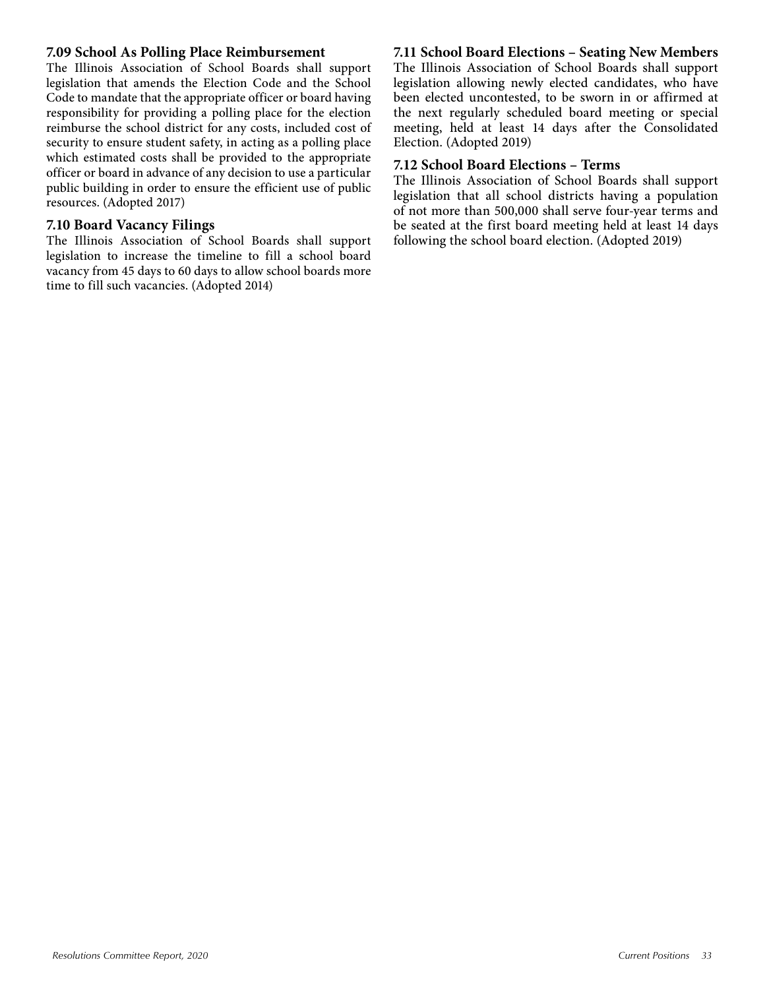#### **7.09 School As Polling Place Reimbursement**

The Illinois Association of School Boards shall support legislation that amends the Election Code and the School Code to mandate that the appropriate officer or board having responsibility for providing a polling place for the election reimburse the school district for any costs, included cost of security to ensure student safety, in acting as a polling place which estimated costs shall be provided to the appropriate officer or board in advance of any decision to use a particular public building in order to ensure the efficient use of public resources. (Adopted 2017)

#### **7.10 Board Vacancy Filings**

The Illinois Association of School Boards shall support legislation to increase the timeline to fill a school board vacancy from 45 days to 60 days to allow school boards more time to fill such vacancies. (Adopted 2014)

#### **7.11 School Board Elections – Seating New Members**

The Illinois Association of School Boards shall support legislation allowing newly elected candidates, who have been elected uncontested, to be sworn in or affirmed at the next regularly scheduled board meeting or special meeting, held at least 14 days after the Consolidated Election. (Adopted 2019)

#### **7.12 School Board Elections – Terms**

The Illinois Association of School Boards shall support legislation that all school districts having a population of not more than 500,000 shall serve four-year terms and be seated at the first board meeting held at least 14 days following the school board election. (Adopted 2019)